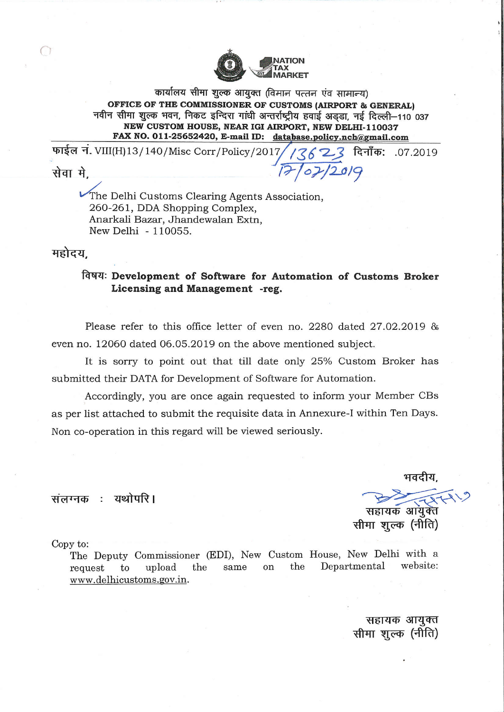

कार्यालय सीमा शुल्क आयुक्त (विमान पत्तन एंव सामान्य) OFFICE OF THE COMMISSIONER OF CUSTOMS (AIRPORT & GENERAL) नवीन सीमा शुल्क भवन, निकट इन्दिरा गांधी अन्तर्राष्ट्रीय हवाई अड़डा, नई दिल्ली-110 037 NEW CUSTOM HOUSE, NEAR IGI AIRPORT, NEW DELHI-110037 FAX NO. 011-25652420, E-mail ID: database.policy.nch@gmail.com

 $17/07/2019$ 

फाईल नं. VIII(H)13/140/Misc Corr/Policy/2017 दिनाँक: .07.2019  $13623$ 

सेवा मे.

The Delhi Customs Clearing Agents Association, 260-261, DDA Shopping Complex, Anarkali Bazar, Jhandewalan Extn, New Delhi - 110055.

महोदय.

## विषयः Development of Software for Automation of Customs Broker Licensing and Management -reg.

Please refer to this office letter of even no. 2280 dated  $27.02.2019$  & even no. 12060 dated 06.05.2019 on the above mentioned subject.

It is sorry to point out that till date only 25% Custom Broker has submitted their DATA for Development of Software for Automation.

Accordingly, you are once again requested to inform your Member CBs as per list attached to submit the requisite data in Annexure-I within Ten Days. Non co-operation in this regard will be viewed seriously.

संलग्नक : यथोपरि।

भवदीय, सहायक आयुक्त सीमा शूल्क (नीति)

Copy to:

The Deputy Commissioner (EDI), New Custom House, New Delhi with a Departmental website: the upload same on to  $the$ request www.delhicustoms.gov.in.

> सहायक आयुक्त सीमा शुल्क (नीति)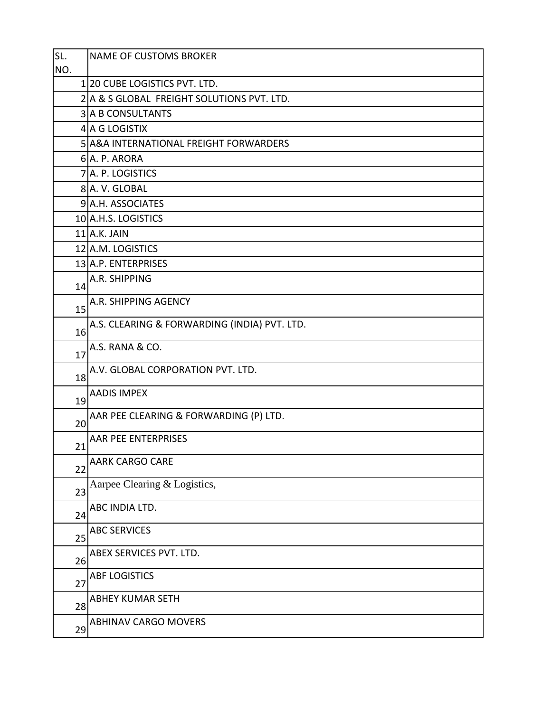| SL. | <b>NAME OF CUSTOMS BROKER</b>                |
|-----|----------------------------------------------|
| NO. |                                              |
|     | 1/20 CUBE LOGISTICS PVT. LTD.                |
|     | 2 A & S GLOBAL FREIGHT SOLUTIONS PVT. LTD.   |
|     | <b>3 A B CONSULTANTS</b>                     |
|     | 4 A G LOGISTIX                               |
|     | 5 A&A INTERNATIONAL FREIGHT FORWARDERS       |
|     | 6 A. P. ARORA                                |
|     | 7 A. P. LOGISTICS                            |
|     | 8 A.V. GLOBAL                                |
|     | 9 A.H. ASSOCIATES                            |
|     | 10 A.H.S. LOGISTICS                          |
|     | $11$ A.K. JAIN                               |
|     | 12 A.M. LOGISTICS                            |
|     | 13 A.P. ENTERPRISES                          |
| 14  | A.R. SHIPPING                                |
| 15  | A.R. SHIPPING AGENCY                         |
| 16  | A.S. CLEARING & FORWARDING (INDIA) PVT. LTD. |
| 17  | A.S. RANA & CO.                              |
| 18  | A.V. GLOBAL CORPORATION PVT. LTD.            |
| 19  | <b>AADIS IMPEX</b>                           |
| 20  | AAR PEE CLEARING & FORWARDING (P) LTD.       |
| 21  | <b>AAR PEE ENTERPRISES</b>                   |
| 22  | <b>AARK CARGO CARE</b>                       |
| 23  | Aarpee Clearing & Logistics,                 |
| 24  | ABC INDIA LTD.                               |
| 25  | <b>ABC SERVICES</b>                          |
| 26  | ABEX SERVICES PVT. LTD.                      |
| 27  | <b>ABF LOGISTICS</b>                         |
| 28  | <b>ABHEY KUMAR SETH</b>                      |
| 29  | <b>ABHINAV CARGO MOVERS</b>                  |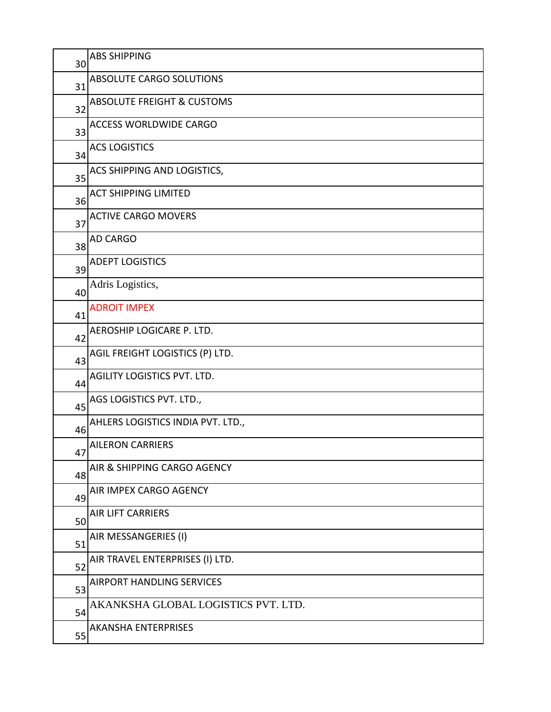| 30 | <b>ABS SHIPPING</b>                   |
|----|---------------------------------------|
| 31 | ABSOLUTE CARGO SOLUTIONS              |
| 32 | <b>ABSOLUTE FREIGHT &amp; CUSTOMS</b> |
| 33 | <b>ACCESS WORLDWIDE CARGO</b>         |
| 34 | <b>ACS LOGISTICS</b>                  |
| 35 | ACS SHIPPING AND LOGISTICS,           |
| 36 | <b>ACT SHIPPING LIMITED</b>           |
| 37 | <b>ACTIVE CARGO MOVERS</b>            |
| 38 | <b>AD CARGO</b>                       |
| 39 | <b>ADEPT LOGISTICS</b>                |
| 40 | Adris Logistics,                      |
| 41 | <b>ADROIT IMPEX</b>                   |
| 42 | AEROSHIP LOGICARE P. LTD.             |
| 43 | AGIL FREIGHT LOGISTICS (P) LTD.       |
| 44 | AGILITY LOGISTICS PVT. LTD.           |
| 45 | AGS LOGISTICS PVT. LTD.,              |
| 46 | AHLERS LOGISTICS INDIA PVT. LTD.,     |
| 47 | <b>AILERON CARRIERS</b>               |
| 48 | AIR & SHIPPING CARGO AGENCY           |
| 49 | AIR IMPEX CARGO AGENCY                |
| 50 | <b>AIR LIFT CARRIERS</b>              |
| 51 | AIR MESSANGERIES (I)                  |
| 52 | AIR TRAVEL ENTERPRISES (I) LTD.       |
| 53 | <b>AIRPORT HANDLING SERVICES</b>      |
| 54 | AKANKSHA GLOBAL LOGISTICS PVT. LTD.   |
| 55 | <b>AKANSHA ENTERPRISES</b>            |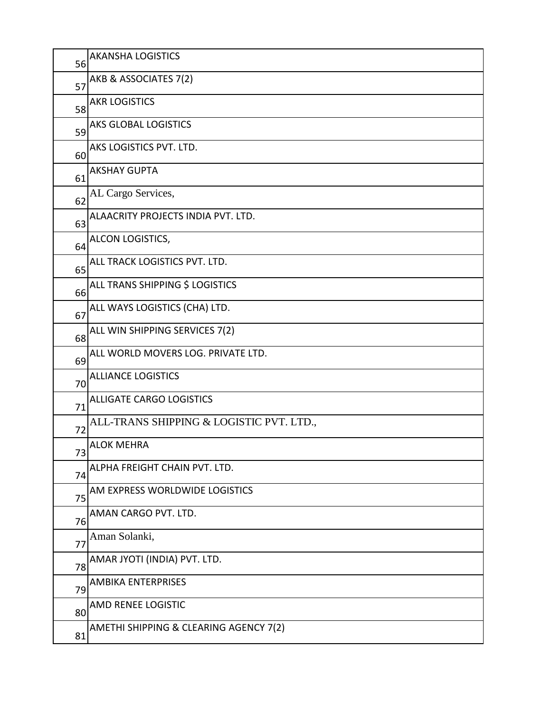| 56 | <b>AKANSHA LOGISTICS</b>                 |
|----|------------------------------------------|
| 57 | AKB & ASSOCIATES 7(2)                    |
| 58 | <b>AKR LOGISTICS</b>                     |
| 59 | <b>AKS GLOBAL LOGISTICS</b>              |
| 60 | AKS LOGISTICS PVT. LTD.                  |
| 61 | <b>AKSHAY GUPTA</b>                      |
| 62 | AL Cargo Services,                       |
| 63 | ALAACRITY PROJECTS INDIA PVT. LTD.       |
| 64 | ALCON LOGISTICS,                         |
| 65 | ALL TRACK LOGISTICS PVT. LTD.            |
| 66 | ALL TRANS SHIPPING \$ LOGISTICS          |
| 67 | ALL WAYS LOGISTICS (CHA) LTD.            |
| 68 | ALL WIN SHIPPING SERVICES 7(2)           |
| 69 | ALL WORLD MOVERS LOG. PRIVATE LTD.       |
| 70 | <b>ALLIANCE LOGISTICS</b>                |
| 71 | <b>ALLIGATE CARGO LOGISTICS</b>          |
| 72 | ALL-TRANS SHIPPING & LOGISTIC PVT. LTD., |
| 73 | <b>ALOK MEHRA</b>                        |
| 74 | ALPHA FREIGHT CHAIN PVT. LTD.            |
| 75 | AM EXPRESS WORLDWIDE LOGISTICS           |
| 76 | AMAN CARGO PVT. LTD.                     |
| 77 | Aman Solanki,                            |
| 78 | AMAR JYOTI (INDIA) PVT. LTD.             |
| 79 | <b>AMBIKA ENTERPRISES</b>                |
| 80 | AMD RENEE LOGISTIC                       |
| 81 | AMETHI SHIPPING & CLEARING AGENCY 7(2)   |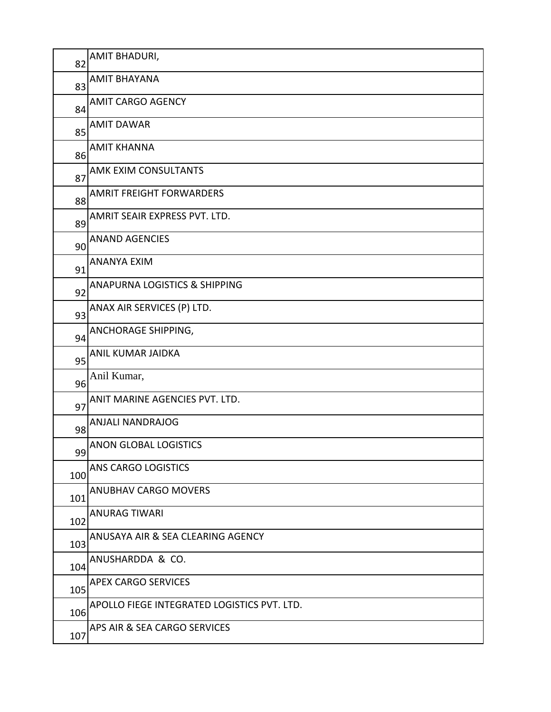| 82  | AMIT BHADURI,                               |
|-----|---------------------------------------------|
| 83  | <b>AMIT BHAYANA</b>                         |
| 84  | <b>AMIT CARGO AGENCY</b>                    |
| 85  | <b>AMIT DAWAR</b>                           |
| 86  | <b>AMIT KHANNA</b>                          |
| 87  | AMK EXIM CONSULTANTS                        |
| 88  | <b>AMRIT FREIGHT FORWARDERS</b>             |
| 89  | AMRIT SEAIR EXPRESS PVT. LTD.               |
| 90  | <b>ANAND AGENCIES</b>                       |
| 91  | <b>ANANYA EXIM</b>                          |
| 92  | <b>ANAPURNA LOGISTICS &amp; SHIPPING</b>    |
| 93  | ANAX AIR SERVICES (P) LTD.                  |
| 94  | ANCHORAGE SHIPPING,                         |
| 95  | ANIL KUMAR JAIDKA                           |
| 96  | Anil Kumar,                                 |
| 97  | ANIT MARINE AGENCIES PVT. LTD.              |
| 98  | <b>ANJALI NANDRAJOG</b>                     |
| 99  | <b>ANON GLOBAL LOGISTICS</b>                |
| 100 | ANS CARGO LOGISTICS                         |
| 101 | <b>ANUBHAV CARGO MOVERS</b>                 |
| 102 | <b>ANURAG TIWARI</b>                        |
| 103 | ANUSAYA AIR & SEA CLEARING AGENCY           |
| 104 | ANUSHARDDA & CO.                            |
| 105 | <b>APEX CARGO SERVICES</b>                  |
| 106 | APOLLO FIEGE INTEGRATED LOGISTICS PVT. LTD. |
| 107 | APS AIR & SEA CARGO SERVICES                |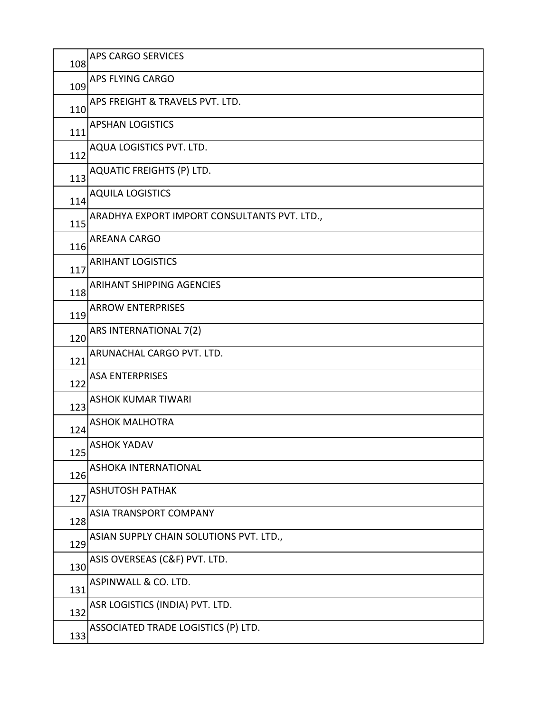| 108 | <b>APS CARGO SERVICES</b>                    |
|-----|----------------------------------------------|
| 109 | APS FLYING CARGO                             |
| 110 | APS FREIGHT & TRAVELS PVT. LTD.              |
| 111 | <b>APSHAN LOGISTICS</b>                      |
| 112 | AQUA LOGISTICS PVT. LTD.                     |
| 113 | <b>AQUATIC FREIGHTS (P) LTD.</b>             |
| 114 | <b>AQUILA LOGISTICS</b>                      |
| 115 | ARADHYA EXPORT IMPORT CONSULTANTS PVT. LTD., |
| 116 | <b>AREANA CARGO</b>                          |
| 117 | <b>ARIHANT LOGISTICS</b>                     |
| 118 | <b>ARIHANT SHIPPING AGENCIES</b>             |
| 119 | <b>ARROW ENTERPRISES</b>                     |
| 120 | ARS INTERNATIONAL 7(2)                       |
| 121 | ARUNACHAL CARGO PVT. LTD.                    |
| 122 | <b>ASA ENTERPRISES</b>                       |
| 123 | <b>ASHOK KUMAR TIWARI</b>                    |
| 124 | <b>ASHOK MALHOTRA</b>                        |
| 125 | <b>ASHOK YADAV</b>                           |
| 126 | ASHOKA INTERNATIONAL                         |
| 127 | <b>ASHUTOSH PATHAK</b>                       |
| 128 | ASIA TRANSPORT COMPANY                       |
| 129 | ASIAN SUPPLY CHAIN SOLUTIONS PVT. LTD.,      |
| 130 | ASIS OVERSEAS (C&F) PVT. LTD.                |
| 131 | ASPINWALL & CO. LTD.                         |
| 132 | ASR LOGISTICS (INDIA) PVT. LTD.              |
| 133 | ASSOCIATED TRADE LOGISTICS (P) LTD.          |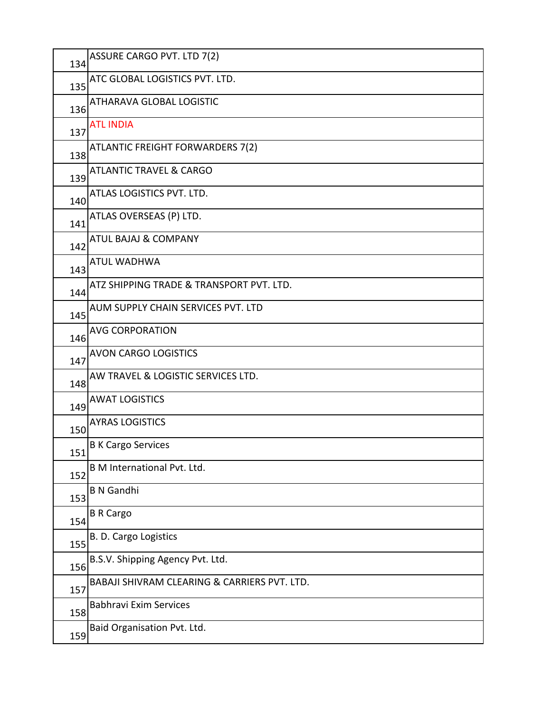| 134 | ASSURE CARGO PVT. LTD 7(2)                   |
|-----|----------------------------------------------|
| 135 | ATC GLOBAL LOGISTICS PVT. LTD.               |
| 136 | ATHARAVA GLOBAL LOGISTIC                     |
| 137 | <b>ATL INDIA</b>                             |
| 138 | ATLANTIC FREIGHT FORWARDERS 7(2)             |
| 139 | <b>ATLANTIC TRAVEL &amp; CARGO</b>           |
| 140 | ATLAS LOGISTICS PVT. LTD.                    |
| 141 | ATLAS OVERSEAS (P) LTD.                      |
| 142 | <b>ATUL BAJAJ &amp; COMPANY</b>              |
| 143 | <b>ATUL WADHWA</b>                           |
| 144 | ATZ SHIPPING TRADE & TRANSPORT PVT. LTD.     |
| 145 | AUM SUPPLY CHAIN SERVICES PVT. LTD           |
| 146 | <b>AVG CORPORATION</b>                       |
| 147 | <b>AVON CARGO LOGISTICS</b>                  |
| 148 | AW TRAVEL & LOGISTIC SERVICES LTD.           |
| 149 | <b>AWAT LOGISTICS</b>                        |
| 150 | <b>AYRAS LOGISTICS</b>                       |
| 151 | <b>B K Cargo Services</b>                    |
| 152 | B M International Pvt. Ltd.                  |
| 153 | <b>B N Gandhi</b>                            |
| 154 | <b>B R Cargo</b>                             |
| 155 | B. D. Cargo Logistics                        |
| 156 | B.S.V. Shipping Agency Pvt. Ltd.             |
| 157 | BABAJI SHIVRAM CLEARING & CARRIERS PVT. LTD. |
| 158 | <b>Babhravi Exim Services</b>                |
| 159 | Baid Organisation Pvt. Ltd.                  |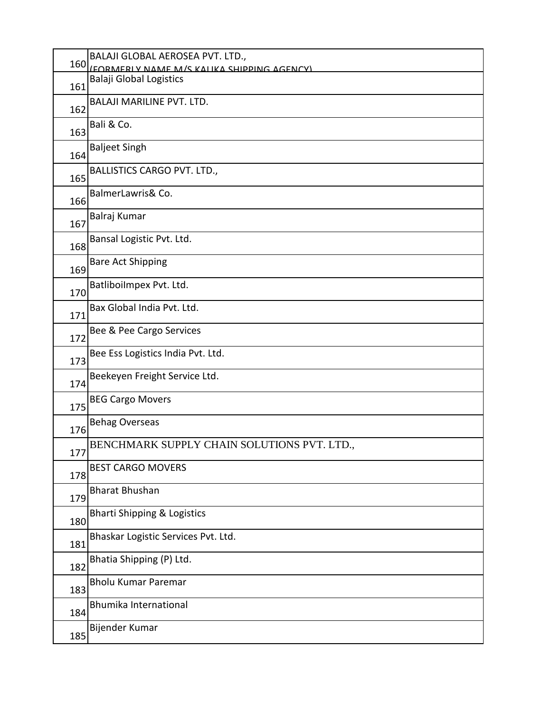| 160 | BALAJI GLOBAL AEROSEA PVT. LTD.,            |
|-----|---------------------------------------------|
|     | (FORMERLY NAME M/S KALIKA SHIDDING AGENCY)  |
| 161 | <b>Balaji Global Logistics</b>              |
| 162 | <b>BALAJI MARILINE PVT. LTD.</b>            |
| 163 | Bali & Co.                                  |
| 164 | <b>Baljeet Singh</b>                        |
| 165 | <b>BALLISTICS CARGO PVT. LTD.,</b>          |
| 166 | BalmerLawris& Co.                           |
| 167 | Balraj Kumar                                |
| 168 | Bansal Logistic Pvt. Ltd.                   |
| 169 | <b>Bare Act Shipping</b>                    |
| 170 | Batliboilmpex Pvt. Ltd.                     |
| 171 | Bax Global India Pvt. Ltd.                  |
| 172 | Bee & Pee Cargo Services                    |
| 173 | Bee Ess Logistics India Pvt. Ltd.           |
| 174 | Beekeyen Freight Service Ltd.               |
| 175 | <b>BEG Cargo Movers</b>                     |
| 176 | <b>Behag Overseas</b>                       |
| 177 | BENCHMARK SUPPLY CHAIN SOLUTIONS PVT. LTD., |
| 178 | <b>BEST CARGO MOVERS</b>                    |
| 179 | <b>Bharat Bhushan</b>                       |
| 180 | <b>Bharti Shipping &amp; Logistics</b>      |
| 181 | Bhaskar Logistic Services Pvt. Ltd.         |
| 182 | Bhatia Shipping (P) Ltd.                    |
| 183 | <b>Bholu Kumar Paremar</b>                  |
| 184 | <b>Bhumika International</b>                |
| 185 | Bijender Kumar                              |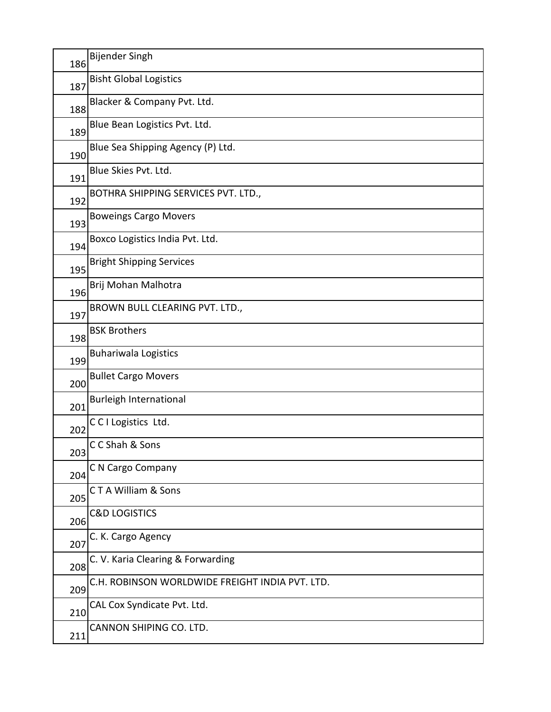| 186 | <b>Bijender Singh</b>                           |
|-----|-------------------------------------------------|
| 187 | <b>Bisht Global Logistics</b>                   |
| 188 | Blacker & Company Pvt. Ltd.                     |
| 189 | Blue Bean Logistics Pvt. Ltd.                   |
| 190 | Blue Sea Shipping Agency (P) Ltd.               |
| 191 | Blue Skies Pvt. Ltd.                            |
| 192 | BOTHRA SHIPPING SERVICES PVT. LTD.,             |
| 193 | <b>Boweings Cargo Movers</b>                    |
| 194 | Boxco Logistics India Pvt. Ltd.                 |
| 195 | <b>Bright Shipping Services</b>                 |
| 196 | Brij Mohan Malhotra                             |
| 197 | BROWN BULL CLEARING PVT. LTD.,                  |
| 198 | <b>BSK Brothers</b>                             |
| 199 | <b>Buhariwala Logistics</b>                     |
| 200 | <b>Bullet Cargo Movers</b>                      |
| 201 | <b>Burleigh International</b>                   |
| 202 | CCI Logistics Ltd.                              |
| 203 | CC Shah & Sons                                  |
| 204 | C N Cargo Company                               |
| 205 | CTA William & Sons                              |
| 206 | <b>C&amp;D LOGISTICS</b>                        |
| 207 | C. K. Cargo Agency                              |
| 208 | C. V. Karia Clearing & Forwarding               |
| 209 | C.H. ROBINSON WORLDWIDE FREIGHT INDIA PVT. LTD. |
| 210 | CAL Cox Syndicate Pvt. Ltd.                     |
| 211 | CANNON SHIPING CO. LTD.                         |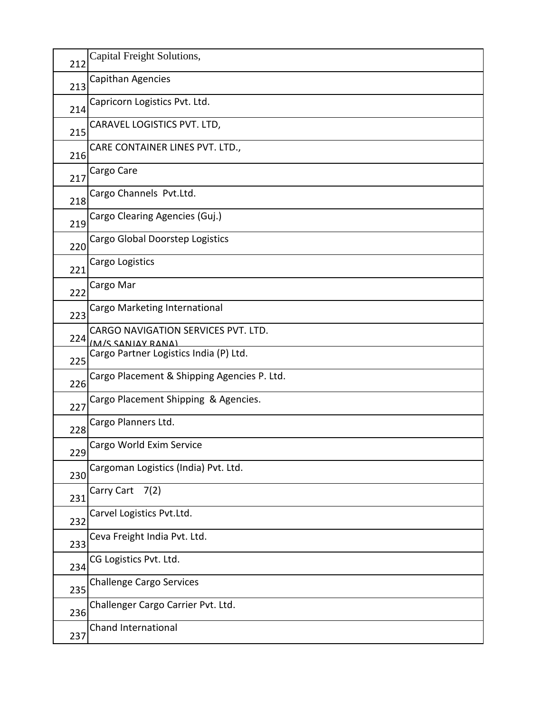| 212 | Capital Freight Solutions,                  |
|-----|---------------------------------------------|
| 213 | Capithan Agencies                           |
| 214 | Capricorn Logistics Pvt. Ltd.               |
| 215 | CARAVEL LOGISTICS PVT. LTD,                 |
| 216 | CARE CONTAINER LINES PVT. LTD.,             |
| 217 | Cargo Care                                  |
| 218 | Cargo Channels Pvt.Ltd.                     |
| 219 | Cargo Clearing Agencies (Guj.)              |
| 220 | Cargo Global Doorstep Logistics             |
| 221 | Cargo Logistics                             |
|     | Cargo Mar                                   |
| 222 | Cargo Marketing International               |
| 223 | CARGO NAVIGATION SERVICES PVT. LTD.         |
| 224 | (M/S SANIAV RANA)                           |
| 225 | Cargo Partner Logistics India (P) Ltd.      |
| 226 | Cargo Placement & Shipping Agencies P. Ltd. |
| 227 | Cargo Placement Shipping & Agencies.        |
| 228 | Cargo Planners Ltd.                         |
| 229 | Cargo World Exim Service                    |
| 230 | Cargoman Logistics (India) Pvt. Ltd.        |
| 231 | Carry Cart 7(2)                             |
| 232 | Carvel Logistics Pvt.Ltd.                   |
| 233 | Ceva Freight India Pvt. Ltd.                |
| 234 | CG Logistics Pvt. Ltd.                      |
| 235 | <b>Challenge Cargo Services</b>             |
| 236 | Challenger Cargo Carrier Pvt. Ltd.          |
| 237 | Chand International                         |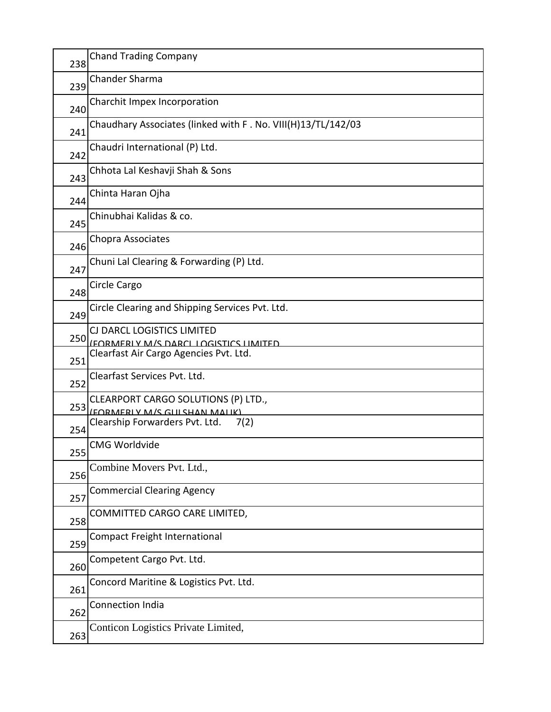| 238 | <b>Chand Trading Company</b>                                         |
|-----|----------------------------------------------------------------------|
| 239 | <b>Chander Sharma</b>                                                |
| 240 | Charchit Impex Incorporation                                         |
| 241 | Chaudhary Associates (linked with F. No. VIII(H)13/TL/142/03         |
| 242 | Chaudri International (P) Ltd.                                       |
| 243 | Chhota Lal Keshavji Shah & Sons                                      |
| 244 | Chinta Haran Ojha                                                    |
| 245 | Chinubhai Kalidas & co.                                              |
| 246 | Chopra Associates                                                    |
| 247 | Chuni Lal Clearing & Forwarding (P) Ltd.                             |
| 248 | Circle Cargo                                                         |
| 249 | Circle Clearing and Shipping Services Pvt. Ltd.                      |
|     | CJ DARCL LOGISTICS LIMITED                                           |
| 250 | <u>IEORMERI V M/S DARCI I OGISTICS HMITED</u>                        |
| 251 | Clearfast Air Cargo Agencies Pvt. Ltd.                               |
| 252 | Clearfast Services Pvt. Ltd.                                         |
| 253 | CLEARPORT CARGO SOLUTIONS (P) LTD.,<br>(FORMERLY M/S GLILSHAN MALIK) |
| 254 | Clearship Forwarders Pvt. Ltd.<br>7(2)                               |
| 255 | <b>CMG Worldvide</b>                                                 |
| 256 | Combine Movers Pvt. Ltd.,                                            |
| 257 | <b>Commercial Clearing Agency</b>                                    |
| 258 | COMMITTED CARGO CARE LIMITED,                                        |
| 259 | <b>Compact Freight International</b>                                 |
| 260 | Competent Cargo Pvt. Ltd.                                            |
| 261 | Concord Maritine & Logistics Pvt. Ltd.                               |
| 262 | <b>Connection India</b>                                              |
| 263 | Conticon Logistics Private Limited,                                  |
|     |                                                                      |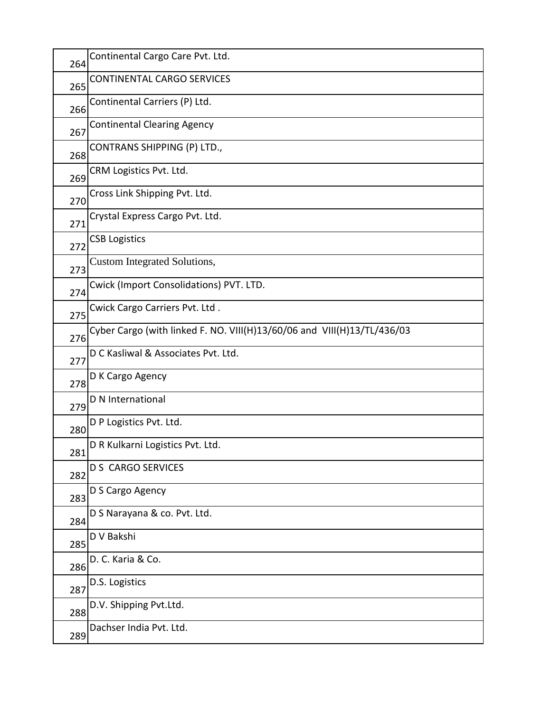| 264 | Continental Cargo Care Pvt. Ltd.                                        |
|-----|-------------------------------------------------------------------------|
| 265 | CONTINENTAL CARGO SERVICES                                              |
| 266 | Continental Carriers (P) Ltd.                                           |
| 267 | <b>Continental Clearing Agency</b>                                      |
| 268 | CONTRANS SHIPPING (P) LTD.,                                             |
| 269 | CRM Logistics Pvt. Ltd.                                                 |
| 270 | Cross Link Shipping Pvt. Ltd.                                           |
| 271 | Crystal Express Cargo Pvt. Ltd.                                         |
| 272 | <b>CSB Logistics</b>                                                    |
| 273 | <b>Custom Integrated Solutions,</b>                                     |
| 274 | Cwick (Import Consolidations) PVT. LTD.                                 |
| 275 | Cwick Cargo Carriers Pvt. Ltd.                                          |
| 276 | Cyber Cargo (with linked F. NO. VIII(H)13/60/06 and VIII(H)13/TL/436/03 |
| 277 | D C Kasliwal & Associates Pvt. Ltd.                                     |
| 278 | D K Cargo Agency                                                        |
| 279 | D N International                                                       |
| 280 | D P Logistics Pvt. Ltd.                                                 |
| 281 | D R Kulkarni Logistics Pvt. Ltd.                                        |
| 282 | <b>D S CARGO SERVICES</b>                                               |
| 283 | D S Cargo Agency                                                        |
| 284 | D S Narayana & co. Pvt. Ltd.                                            |
| 285 | D V Bakshi                                                              |
| 286 | D. C. Karia & Co.                                                       |
| 287 | D.S. Logistics                                                          |
| 288 | D.V. Shipping Pvt.Ltd.                                                  |
| 289 | Dachser India Pvt. Ltd.                                                 |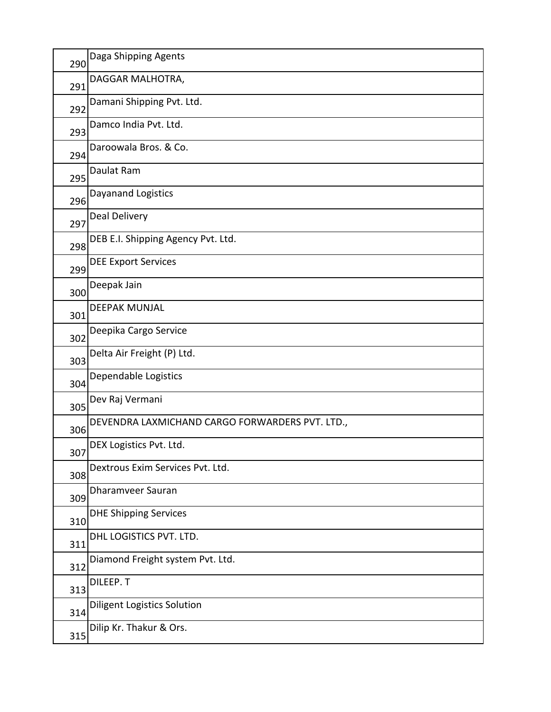| 290 | Daga Shipping Agents                            |
|-----|-------------------------------------------------|
| 291 | DAGGAR MALHOTRA,                                |
| 292 | Damani Shipping Pvt. Ltd.                       |
| 293 | Damco India Pvt. Ltd.                           |
| 294 | Daroowala Bros. & Co.                           |
| 295 | Daulat Ram                                      |
| 296 | Dayanand Logistics                              |
| 297 | Deal Delivery                                   |
| 298 | DEB E.I. Shipping Agency Pvt. Ltd.              |
| 299 | <b>DEE Export Services</b>                      |
| 300 | Deepak Jain                                     |
| 301 | <b>DEEPAK MUNJAL</b>                            |
| 302 | Deepika Cargo Service                           |
| 303 | Delta Air Freight (P) Ltd.                      |
| 304 | Dependable Logistics                            |
| 305 | Dev Raj Vermani                                 |
| 306 | DEVENDRA LAXMICHAND CARGO FORWARDERS PVT. LTD., |
| 307 | DEX Logistics Pvt. Ltd.                         |
| 308 | Dextrous Exim Services Pvt. Ltd.                |
| 309 | Dharamveer Sauran                               |
| 310 | <b>DHE Shipping Services</b>                    |
| 311 | DHL LOGISTICS PVT. LTD.                         |
| 312 | Diamond Freight system Pvt. Ltd.                |
| 313 | DILEEP.T                                        |
| 314 | <b>Diligent Logistics Solution</b>              |
| 315 | Dilip Kr. Thakur & Ors.                         |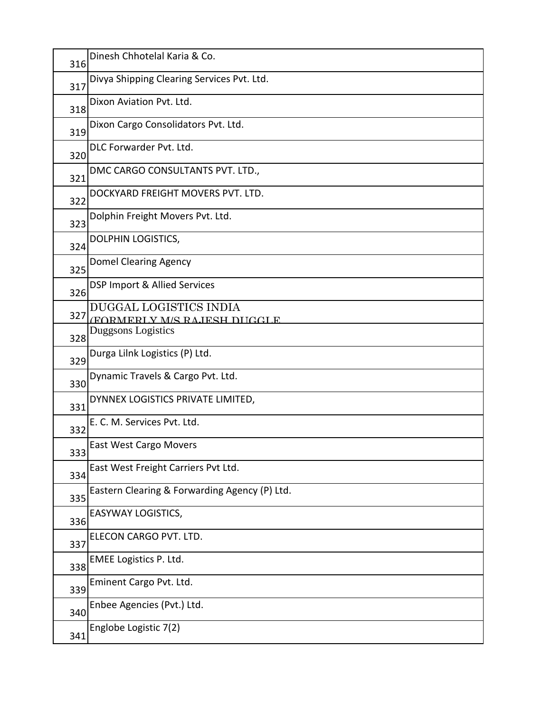| 316 | Dinesh Chhotelal Karia & Co.                          |
|-----|-------------------------------------------------------|
| 317 | Divya Shipping Clearing Services Pvt. Ltd.            |
| 318 | Dixon Aviation Pvt. Ltd.                              |
| 319 | Dixon Cargo Consolidators Pvt. Ltd.                   |
| 320 | DLC Forwarder Pvt. Ltd.                               |
| 321 | DMC CARGO CONSULTANTS PVT. LTD.,                      |
| 322 | DOCKYARD FREIGHT MOVERS PVT. LTD.                     |
| 323 | Dolphin Freight Movers Pvt. Ltd.                      |
| 324 | DOLPHIN LOGISTICS,                                    |
| 325 | Domel Clearing Agency                                 |
| 326 | DSP Import & Allied Services                          |
| 327 | DUGGAL LOGISTICS INDIA<br>(FORMERLY M/S RAJESH DHGGLE |
| 328 | <b>Duggsons Logistics</b>                             |
| 329 | Durga Lilnk Logistics (P) Ltd.                        |
| 330 | Dynamic Travels & Cargo Pvt. Ltd.                     |
| 331 | DYNNEX LOGISTICS PRIVATE LIMITED,                     |
| 332 | E. C. M. Services Pvt. Ltd.                           |
| 333 | <b>East West Cargo Movers</b>                         |
| 334 | East West Freight Carriers Pvt Ltd.                   |
| 335 | Eastern Clearing & Forwarding Agency (P) Ltd.         |
| 336 | EASYWAY LOGISTICS,                                    |
| 337 | ELECON CARGO PVT. LTD.                                |
| 338 | EMEE Logistics P. Ltd.                                |
| 339 | Eminent Cargo Pvt. Ltd.                               |
| 340 | Enbee Agencies (Pvt.) Ltd.                            |
| 341 | Englobe Logistic 7(2)                                 |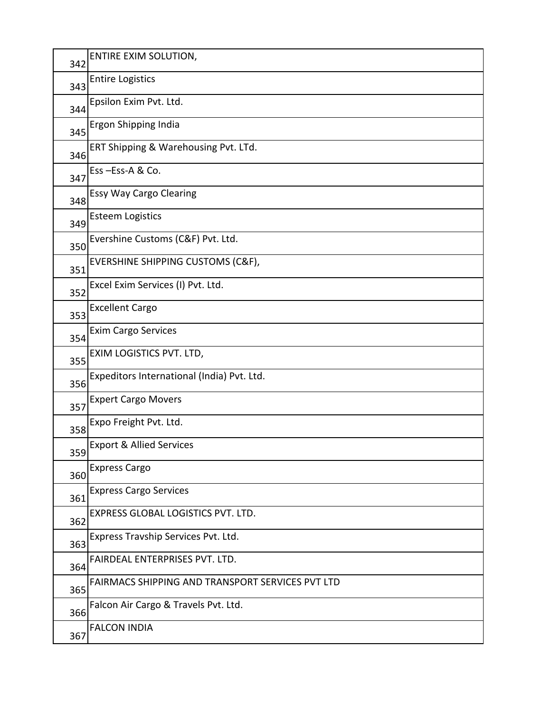| 342 | ENTIRE EXIM SOLUTION,                            |
|-----|--------------------------------------------------|
| 343 | <b>Entire Logistics</b>                          |
| 344 | Epsilon Exim Pvt. Ltd.                           |
| 345 | Ergon Shipping India                             |
| 346 | ERT Shipping & Warehousing Pvt. LTd.             |
| 347 | Ess-Ess-A & Co.                                  |
| 348 | <b>Essy Way Cargo Clearing</b>                   |
| 349 | <b>Esteem Logistics</b>                          |
| 350 | Evershine Customs (C&F) Pvt. Ltd.                |
| 351 | EVERSHINE SHIPPING CUSTOMS (C&F),                |
| 352 | Excel Exim Services (I) Pvt. Ltd.                |
| 353 | <b>Excellent Cargo</b>                           |
| 354 | <b>Exim Cargo Services</b>                       |
| 355 | EXIM LOGISTICS PVT. LTD,                         |
| 356 | Expeditors International (India) Pvt. Ltd.       |
| 357 | <b>Expert Cargo Movers</b>                       |
| 358 | Expo Freight Pvt. Ltd.                           |
| 359 | <b>Export &amp; Allied Services</b>              |
| 360 | <b>Express Cargo</b>                             |
| 361 | <b>Express Cargo Services</b>                    |
| 362 | EXPRESS GLOBAL LOGISTICS PVT. LTD.               |
| 363 | Express Travship Services Pvt. Ltd.              |
| 364 | FAIRDEAL ENTERPRISES PVT. LTD.                   |
| 365 | FAIRMACS SHIPPING AND TRANSPORT SERVICES PVT LTD |
| 366 | Falcon Air Cargo & Travels Pvt. Ltd.             |
| 367 | <b>FALCON INDIA</b>                              |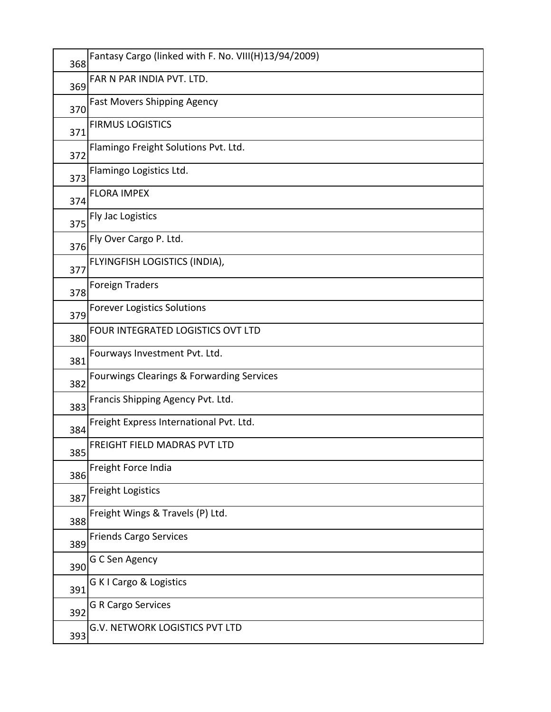| 368 | Fantasy Cargo (linked with F. No. VIII(H)13/94/2009) |
|-----|------------------------------------------------------|
| 369 | FAR N PAR INDIA PVT. LTD.                            |
| 370 | <b>Fast Movers Shipping Agency</b>                   |
| 371 | <b>FIRMUS LOGISTICS</b>                              |
| 372 | Flamingo Freight Solutions Pvt. Ltd.                 |
| 373 | Flamingo Logistics Ltd.                              |
| 374 | <b>FLORA IMPEX</b>                                   |
| 375 | Fly Jac Logistics                                    |
| 376 | Fly Over Cargo P. Ltd.                               |
| 377 | FLYINGFISH LOGISTICS (INDIA),                        |
| 378 | <b>Foreign Traders</b>                               |
| 379 | <b>Forever Logistics Solutions</b>                   |
| 380 | FOUR INTEGRATED LOGISTICS OVT LTD                    |
| 381 | Fourways Investment Pvt. Ltd.                        |
| 382 | Fourwings Clearings & Forwarding Services            |
| 383 | Francis Shipping Agency Pvt. Ltd.                    |
| 384 | Freight Express International Pvt. Ltd.              |
| 385 | <b>FREIGHT FIELD MADRAS PVT LTD</b>                  |
| 386 | Freight Force India                                  |
| 387 | <b>Freight Logistics</b>                             |
| 388 | Freight Wings & Travels (P) Ltd.                     |
| 389 | <b>Friends Cargo Services</b>                        |
| 390 | G C Sen Agency                                       |
| 391 | G K I Cargo & Logistics                              |
| 392 | <b>G R Cargo Services</b>                            |
| 393 | G.V. NETWORK LOGISTICS PVT LTD                       |
|     |                                                      |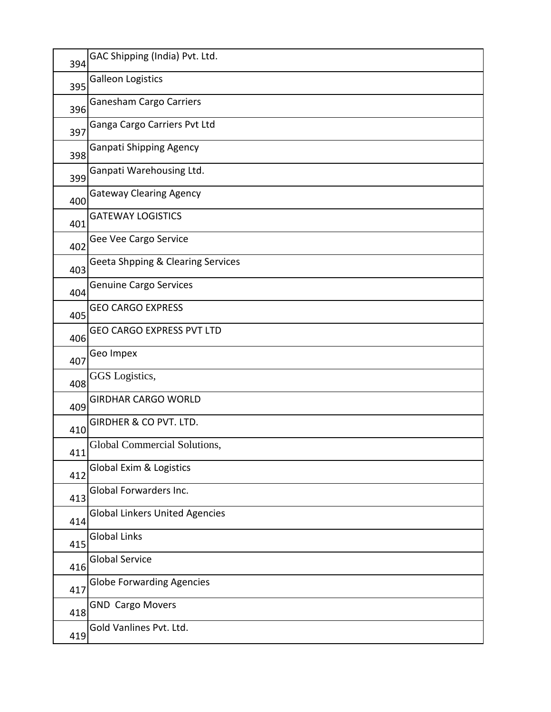| 394 | GAC Shipping (India) Pvt. Ltd.               |
|-----|----------------------------------------------|
| 395 | <b>Galleon Logistics</b>                     |
| 396 | <b>Ganesham Cargo Carriers</b>               |
| 397 | Ganga Cargo Carriers Pvt Ltd                 |
| 398 | <b>Ganpati Shipping Agency</b>               |
| 399 | Ganpati Warehousing Ltd.                     |
| 400 | <b>Gateway Clearing Agency</b>               |
| 401 | <b>GATEWAY LOGISTICS</b>                     |
| 402 | Gee Vee Cargo Service                        |
| 403 | <b>Geeta Shpping &amp; Clearing Services</b> |
| 404 | <b>Genuine Cargo Services</b>                |
| 405 | <b>GEO CARGO EXPRESS</b>                     |
| 406 | <b>GEO CARGO EXPRESS PVT LTD</b>             |
| 407 | Geo Impex                                    |
| 408 | GGS Logistics,                               |
| 409 | <b>GIRDHAR CARGO WORLD</b>                   |
| 410 | GIRDHER & CO PVT. LTD.                       |
| 411 | Global Commercial Solutions,                 |
| 412 | Global Exim & Logistics                      |
| 413 | Global Forwarders Inc.                       |
| 414 | <b>Global Linkers United Agencies</b>        |
| 415 | <b>Global Links</b>                          |
| 416 | <b>Global Service</b>                        |
| 417 | <b>Globe Forwarding Agencies</b>             |
| 418 | <b>GND Cargo Movers</b>                      |
| 419 | Gold Vanlines Pvt. Ltd.                      |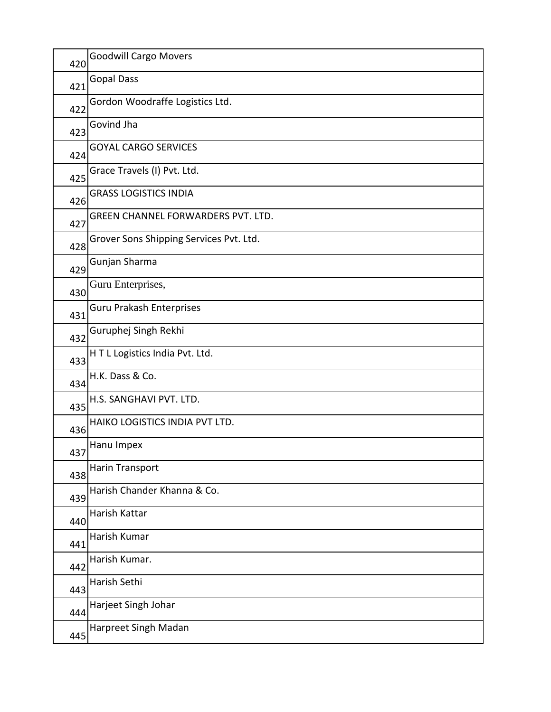| 420 | <b>Goodwill Cargo Movers</b>            |
|-----|-----------------------------------------|
| 421 | <b>Gopal Dass</b>                       |
| 422 | Gordon Woodraffe Logistics Ltd.         |
| 423 | Govind Jha                              |
| 424 | <b>GOYAL CARGO SERVICES</b>             |
| 425 | Grace Travels (I) Pvt. Ltd.             |
| 426 | <b>GRASS LOGISTICS INDIA</b>            |
| 427 | GREEN CHANNEL FORWARDERS PVT. LTD.      |
| 428 | Grover Sons Shipping Services Pvt. Ltd. |
| 429 | Gunjan Sharma                           |
| 430 | Guru Enterprises,                       |
| 431 | <b>Guru Prakash Enterprises</b>         |
| 432 | Guruphej Singh Rekhi                    |
| 433 | HTL Logistics India Pvt. Ltd.           |
| 434 | H.K. Dass & Co.                         |
| 435 | H.S. SANGHAVI PVT. LTD.                 |
| 436 | HAIKO LOGISTICS INDIA PVT LTD.          |
| 437 | Hanu Impex                              |
| 438 | Harin Transport                         |
| 439 | Harish Chander Khanna & Co.             |
| 440 | Harish Kattar                           |
| 441 | Harish Kumar                            |
| 442 | Harish Kumar.                           |
| 443 | Harish Sethi                            |
| 444 | Harjeet Singh Johar                     |
| 445 | Harpreet Singh Madan                    |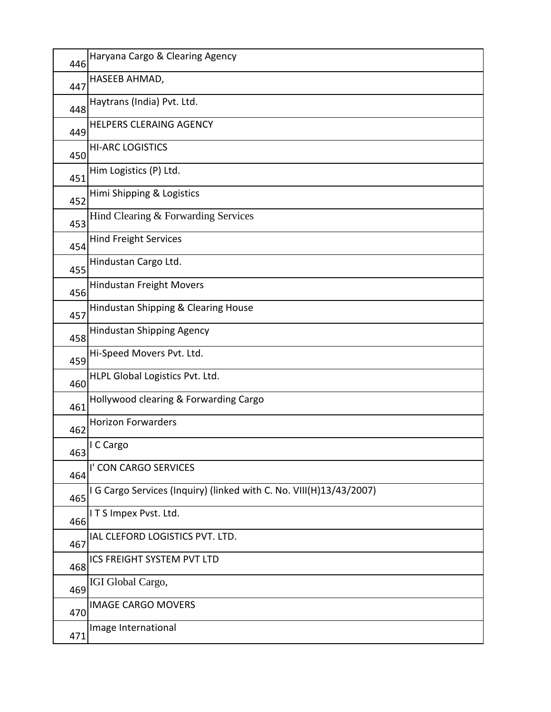| 446 | Haryana Cargo & Clearing Agency                                     |
|-----|---------------------------------------------------------------------|
| 447 | HASEEB AHMAD,                                                       |
| 448 | Haytrans (India) Pvt. Ltd.                                          |
| 449 | <b>HELPERS CLERAING AGENCY</b>                                      |
| 450 | <b>HI-ARC LOGISTICS</b>                                             |
| 451 | Him Logistics (P) Ltd.                                              |
| 452 | Himi Shipping & Logistics                                           |
| 453 | Hind Clearing & Forwarding Services                                 |
| 454 | <b>Hind Freight Services</b>                                        |
| 455 | Hindustan Cargo Ltd.                                                |
| 456 | <b>Hindustan Freight Movers</b>                                     |
| 457 | Hindustan Shipping & Clearing House                                 |
| 458 | <b>Hindustan Shipping Agency</b>                                    |
| 459 | Hi-Speed Movers Pvt. Ltd.                                           |
| 460 | HLPL Global Logistics Pvt. Ltd.                                     |
| 461 | Hollywood clearing & Forwarding Cargo                               |
| 462 | <b>Horizon Forwarders</b>                                           |
| 463 | I C Cargo                                                           |
| 464 | I' CON CARGO SERVICES                                               |
| 465 | I G Cargo Services (Inquiry) (linked with C. No. VIII(H)13/43/2007) |
| 466 | ITS Impex Pvst. Ltd.                                                |
| 467 | IAL CLEFORD LOGISTICS PVT. LTD.                                     |
| 468 | ICS FREIGHT SYSTEM PVT LTD                                          |
| 469 | IGI Global Cargo,                                                   |
| 470 | <b>IMAGE CARGO MOVERS</b>                                           |
| 471 | Image International                                                 |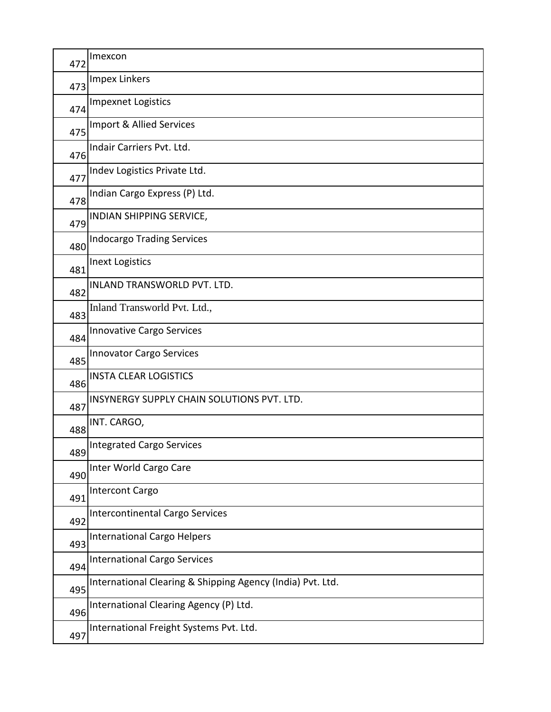| 472 | Imexcon                                                    |
|-----|------------------------------------------------------------|
| 473 | <b>Impex Linkers</b>                                       |
| 474 | <b>Impexnet Logistics</b>                                  |
| 475 | Import & Allied Services                                   |
| 476 | Indair Carriers Pvt. Ltd.                                  |
| 477 | Indev Logistics Private Ltd.                               |
| 478 | Indian Cargo Express (P) Ltd.                              |
| 479 | INDIAN SHIPPING SERVICE,                                   |
| 480 | <b>Indocargo Trading Services</b>                          |
| 481 | <b>Inext Logistics</b>                                     |
| 482 | INLAND TRANSWORLD PVT. LTD.                                |
| 483 | Inland Transworld Pvt. Ltd.,                               |
| 484 | <b>Innovative Cargo Services</b>                           |
| 485 | <b>Innovator Cargo Services</b>                            |
| 486 | <b>INSTA CLEAR LOGISTICS</b>                               |
| 487 | INSYNERGY SUPPLY CHAIN SOLUTIONS PVT. LTD.                 |
| 488 | INT. CARGO,                                                |
| 489 | Integrated Cargo Services                                  |
| 490 | Inter World Cargo Care                                     |
| 491 | <b>Intercont Cargo</b>                                     |
| 492 | <b>Intercontinental Cargo Services</b>                     |
| 493 | <b>International Cargo Helpers</b>                         |
| 494 | <b>International Cargo Services</b>                        |
| 495 | International Clearing & Shipping Agency (India) Pvt. Ltd. |
| 496 | International Clearing Agency (P) Ltd.                     |
| 497 | International Freight Systems Pvt. Ltd.                    |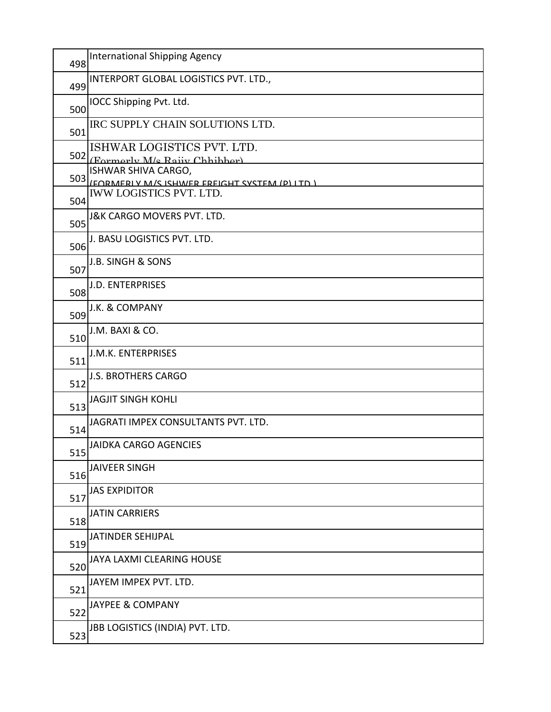| 498 | <b>International Shipping Agency</b>                                                 |
|-----|--------------------------------------------------------------------------------------|
| 499 | INTERPORT GLOBAL LOGISTICS PVT. LTD.,                                                |
| 500 | IOCC Shipping Pvt. Ltd.                                                              |
| 501 | IRC SUPPLY CHAIN SOLUTIONS LTD.                                                      |
|     | ISHWAR LOGISTICS PVT. LTD.<br>502 (Formerly M/s Raiiv Chhibber)                      |
|     | ISHWAR SHIVA CARGO,                                                                  |
| 504 | 503 (FORMERI V M/S ISHWER EREIGHT SYSTEM (D) LTD )<br><b>IWW LOGISTICS PVT. LTD.</b> |
| 505 | <b>J&amp;K CARGO MOVERS PVT. LTD.</b>                                                |
| 506 | J. BASU LOGISTICS PVT. LTD.                                                          |
| 507 | <b>J.B. SINGH &amp; SONS</b>                                                         |
| 508 | <b>J.D. ENTERPRISES</b>                                                              |
| 509 | J.K. & COMPANY                                                                       |
| 510 | J.M. BAXI & CO.                                                                      |
| 511 | J.M.K. ENTERPRISES                                                                   |
| 512 | <b>J.S. BROTHERS CARGO</b>                                                           |
| 513 | <b>JAGJIT SINGH KOHLI</b>                                                            |
| 514 | JAGRATI IMPEX CONSULTANTS PVT. LTD.                                                  |
| 515 | <b>JAIDKA CARGO AGENCIES</b>                                                         |
| 516 | <b>JAIVEER SINGH</b>                                                                 |
| 517 | <b>JAS EXPIDITOR</b>                                                                 |
| 518 | <b>JATIN CARRIERS</b>                                                                |
| 519 | JATINDER SEHIJPAL                                                                    |
| 520 | JAYA LAXMI CLEARING HOUSE                                                            |
| 521 | JAYEM IMPEX PVT. LTD.                                                                |
| 522 | <b>JAYPEE &amp; COMPANY</b>                                                          |
| 523 | JBB LOGISTICS (INDIA) PVT. LTD.                                                      |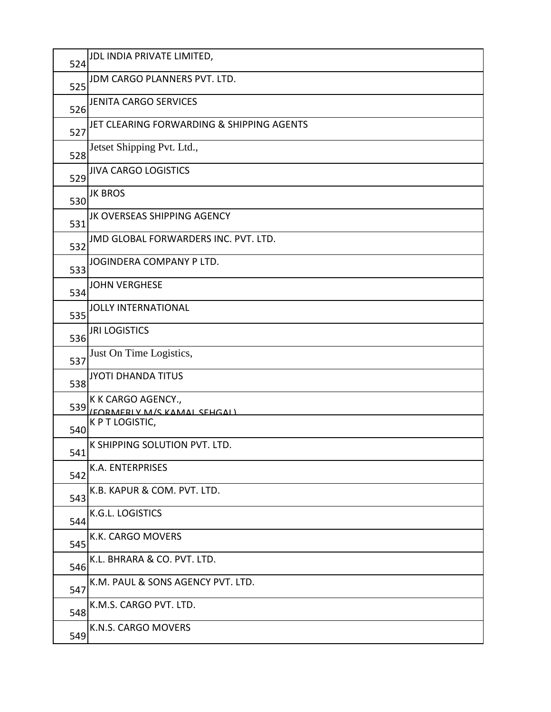| 524 | JDL INDIA PRIVATE LIMITED,                        |
|-----|---------------------------------------------------|
| 525 | JDM CARGO PLANNERS PVT. LTD.                      |
| 526 | <b>JENITA CARGO SERVICES</b>                      |
| 527 | JET CLEARING FORWARDING & SHIPPING AGENTS         |
| 528 | Jetset Shipping Pvt. Ltd.,                        |
| 529 | <b>JIVA CARGO LOGISTICS</b>                       |
| 530 | <b>JK BROS</b>                                    |
| 531 | JK OVERSEAS SHIPPING AGENCY                       |
| 532 | JMD GLOBAL FORWARDERS INC. PVT. LTD.              |
| 533 | JOGINDERA COMPANY P LTD.                          |
| 534 | <b>JOHN VERGHESE</b>                              |
| 535 | <b>JOLLY INTERNATIONAL</b>                        |
| 536 | <b>JRI LOGISTICS</b>                              |
| 537 | Just On Time Logistics,                           |
| 538 | <b>JYOTI DHANDA TITUS</b>                         |
| 539 | K K CARGO AGENCY.,<br>(FORMERIY M/S KAMAI SEHGAI) |
| 540 | K P T LOGISTIC,                                   |
| 541 | K SHIPPING SOLUTION PVT. LTD.                     |
| 542 | K.A. ENTERPRISES                                  |
| 543 | K.B. KAPUR & COM. PVT. LTD.                       |
| 544 | K.G.L. LOGISTICS                                  |
| 545 | K.K. CARGO MOVERS                                 |
| 546 | K.L. BHRARA & CO. PVT. LTD.                       |
| 547 | K.M. PAUL & SONS AGENCY PVT. LTD.                 |
| 548 | K.M.S. CARGO PVT. LTD.                            |
| 549 | K.N.S. CARGO MOVERS                               |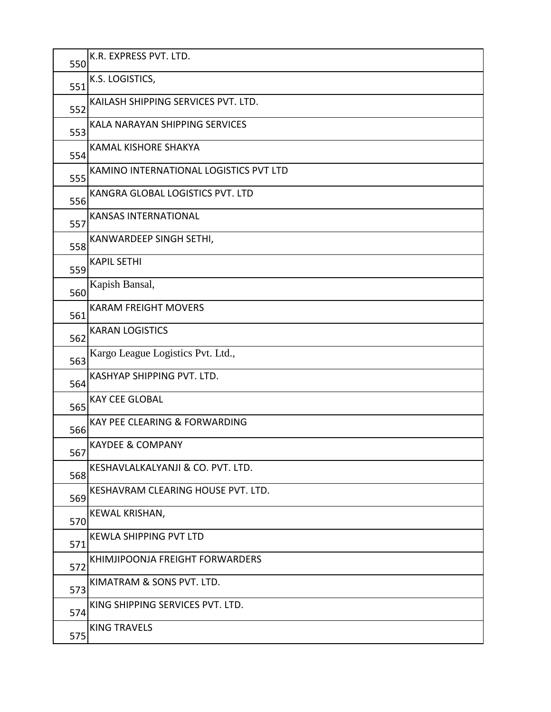| 550 | K.R. EXPRESS PVT. LTD.                 |
|-----|----------------------------------------|
| 551 | K.S. LOGISTICS,                        |
| 552 | KAILASH SHIPPING SERVICES PVT. LTD.    |
| 553 | KALA NARAYAN SHIPPING SERVICES         |
| 554 | <b>KAMAL KISHORE SHAKYA</b>            |
| 555 | KAMINO INTERNATIONAL LOGISTICS PVT LTD |
| 556 | KANGRA GLOBAL LOGISTICS PVT. LTD       |
| 557 | <b>KANSAS INTERNATIONAL</b>            |
| 558 | KANWARDEEP SINGH SETHI,                |
| 559 | <b>KAPIL SETHI</b>                     |
| 560 | Kapish Bansal,                         |
| 561 | <b>KARAM FREIGHT MOVERS</b>            |
| 562 | <b>KARAN LOGISTICS</b>                 |
| 563 | Kargo League Logistics Pvt. Ltd.,      |
| 564 | KASHYAP SHIPPING PVT. LTD.             |
| 565 | <b>KAY CEE GLOBAL</b>                  |
| 566 | KAY PEE CLEARING & FORWARDING          |
| 567 | <b>KAYDEE &amp; COMPANY</b>            |
| 568 | KESHAVLALKALYANJI & CO. PVT. LTD.      |
| 569 | KESHAVRAM CLEARING HOUSE PVT. LTD.     |
| 570 | KEWAL KRISHAN,                         |
| 571 | <b>KEWLA SHIPPING PVT LTD</b>          |
| 572 | KHIMJIPOONJA FREIGHT FORWARDERS        |
| 573 | KIMATRAM & SONS PVT. LTD.              |
| 574 | KING SHIPPING SERVICES PVT. LTD.       |
| 575 | <b>KING TRAVELS</b>                    |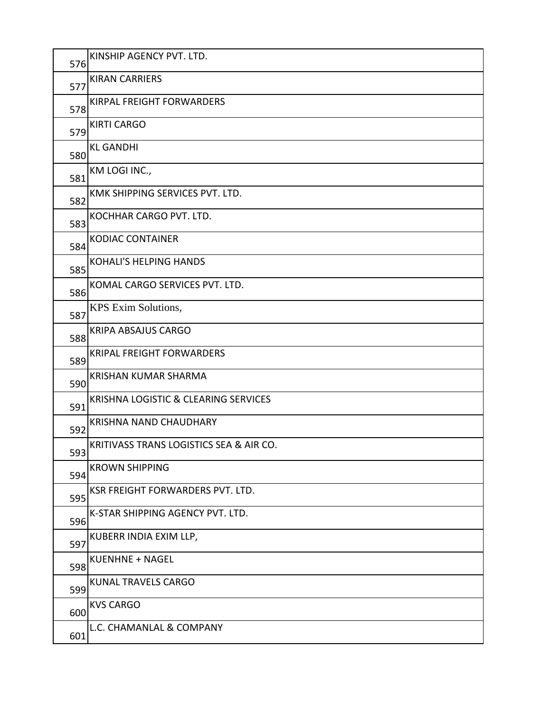| 576 | KINSHIP AGENCY PVT. LTD.                |
|-----|-----------------------------------------|
| 577 | <b>KIRAN CARRIERS</b>                   |
| 578 | <b>KIRPAL FREIGHT FORWARDERS</b>        |
| 579 | <b>KIRTI CARGO</b>                      |
| 580 | <b>KL GANDHI</b>                        |
| 581 | KM LOGI INC.,                           |
| 582 | KMK SHIPPING SERVICES PVT. LTD.         |
| 583 | KOCHHAR CARGO PVT. LTD.                 |
| 584 | <b>KODIAC CONTAINER</b>                 |
| 585 | <b>KOHALI'S HELPING HANDS</b>           |
| 586 | KOMAL CARGO SERVICES PVT. LTD.          |
| 587 | KPS Exim Solutions,                     |
| 588 | <b>KRIPA ABSAJUS CARGO</b>              |
| 589 | <b>KRIPAL FREIGHT FORWARDERS</b>        |
| 590 | <b>KRISHAN KUMAR SHARMA</b>             |
| 591 | KRISHNA LOGISTIC & CLEARING SERVICES    |
| 592 | <b>KRISHNA NAND CHAUDHARY</b>           |
| 593 | KRITIVASS TRANS LOGISTICS SEA & AIR CO. |
| 594 | <b>KROWN SHIPPING</b>                   |
| 595 | KSR FREIGHT FORWARDERS PVT. LTD.        |
| 596 | K-STAR SHIPPING AGENCY PVT. LTD.        |
| 597 | KUBERR INDIA EXIM LLP,                  |
| 598 | <b>KUENHNE + NAGEL</b>                  |
| 599 | KUNAL TRAVELS CARGO                     |
| 600 | <b>KVS CARGO</b>                        |
| 601 | L.C. CHAMANLAL & COMPANY                |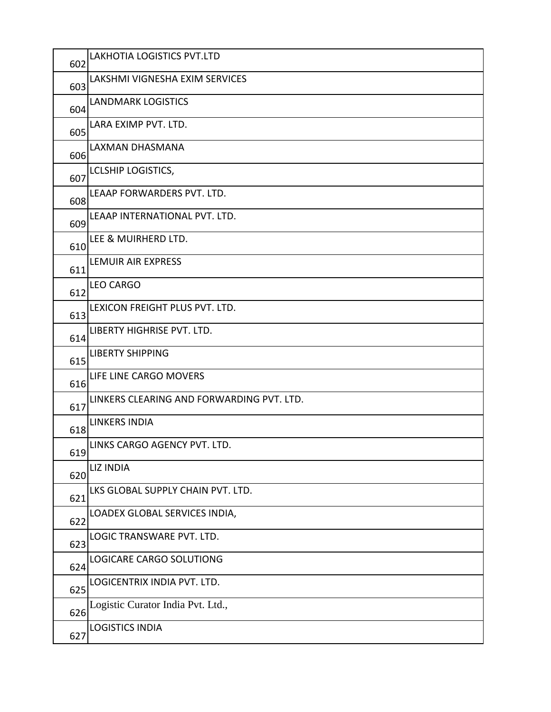| 602 | <b>LAKHOTIA LOGISTICS PVT.LTD</b>         |
|-----|-------------------------------------------|
| 603 | LAKSHMI VIGNESHA EXIM SERVICES            |
| 604 | <b>LANDMARK LOGISTICS</b>                 |
| 605 | LARA EXIMP PVT. LTD.                      |
| 606 | LAXMAN DHASMANA                           |
| 607 | <b>LCLSHIP LOGISTICS,</b>                 |
| 608 | LEAAP FORWARDERS PVT. LTD.                |
| 609 | LEAAP INTERNATIONAL PVT. LTD.             |
| 610 | LEE & MUIRHERD LTD.                       |
| 611 | LEMUIR AIR EXPRESS                        |
| 612 | <b>LEO CARGO</b>                          |
| 613 | LEXICON FREIGHT PLUS PVT. LTD.            |
| 614 | LIBERTY HIGHRISE PVT. LTD.                |
| 615 | <b>LIBERTY SHIPPING</b>                   |
| 616 | LIFE LINE CARGO MOVERS                    |
| 617 | LINKERS CLEARING AND FORWARDING PVT. LTD. |
| 618 | <b>LINKERS INDIA</b>                      |
| 619 | LINKS CARGO AGENCY PVT. LTD.              |
| 620 | <b>LIZ INDIA</b>                          |
| 621 | LKS GLOBAL SUPPLY CHAIN PVT. LTD.         |
| 622 | LOADEX GLOBAL SERVICES INDIA,             |
| 623 | LOGIC TRANSWARE PVT. LTD.                 |
| 624 | LOGICARE CARGO SOLUTIONG                  |
| 625 | LOGICENTRIX INDIA PVT. LTD.               |
| 626 | Logistic Curator India Pvt. Ltd.,         |
| 627 | <b>LOGISTICS INDIA</b>                    |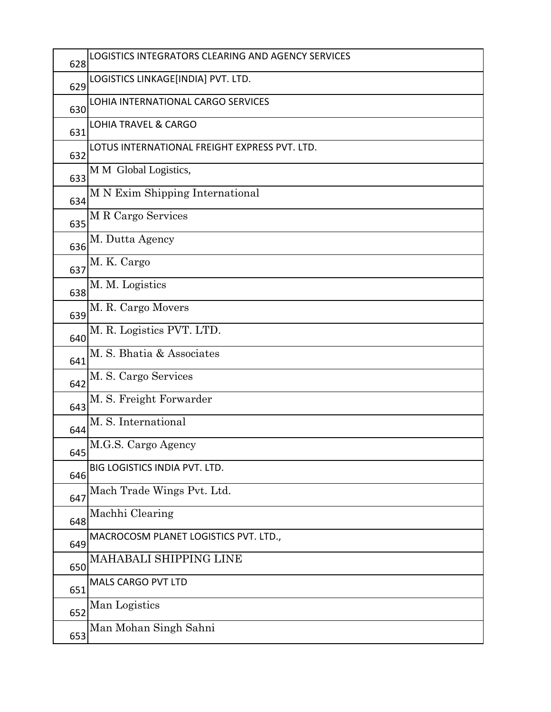| 628 | LOGISTICS INTEGRATORS CLEARING AND AGENCY SERVICES |
|-----|----------------------------------------------------|
| 629 | LOGISTICS LINKAGE[INDIA] PVT. LTD.                 |
| 630 | LOHIA INTERNATIONAL CARGO SERVICES                 |
| 631 | <b>LOHIA TRAVEL &amp; CARGO</b>                    |
| 632 | LOTUS INTERNATIONAL FREIGHT EXPRESS PVT. LTD.      |
| 633 | M M Global Logistics,                              |
| 634 | M N Exim Shipping International                    |
| 635 | M R Cargo Services                                 |
| 636 | M. Dutta Agency                                    |
| 637 | M. K. Cargo                                        |
| 638 | M. M. Logistics                                    |
| 639 | M. R. Cargo Movers                                 |
| 640 | M. R. Logistics PVT. LTD.                          |
| 641 | M. S. Bhatia & Associates                          |
| 642 | M. S. Cargo Services                               |
| 643 | M. S. Freight Forwarder                            |
| 644 | M. S. International                                |
| 645 | M.G.S. Cargo Agency                                |
| 646 | BIG LOGISTICS INDIA PVT. LTD.                      |
| 647 | Mach Trade Wings Pvt. Ltd.                         |
| 648 | Machhi Clearing                                    |
| 649 | MACROCOSM PLANET LOGISTICS PVT. LTD.,              |
| 650 | MAHABALI SHIPPING LINE                             |
| 651 | MALS CARGO PVT LTD                                 |
| 652 | Man Logistics                                      |
| 653 | Man Mohan Singh Sahni                              |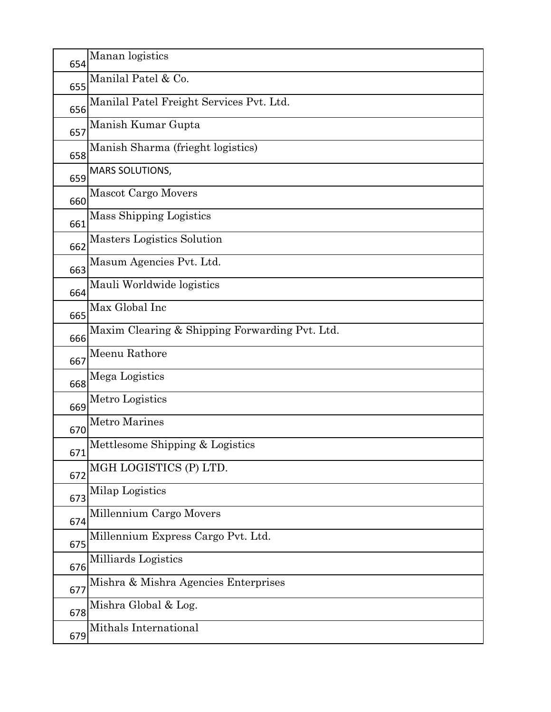| 654 | Manan logistics                                |
|-----|------------------------------------------------|
| 655 | Manilal Patel & Co.                            |
| 656 | Manilal Patel Freight Services Pvt. Ltd.       |
| 657 | Manish Kumar Gupta                             |
| 658 | Manish Sharma (frieght logistics)              |
| 659 | MARS SOLUTIONS,                                |
| 660 | <b>Mascot Cargo Movers</b>                     |
| 661 | Mass Shipping Logistics                        |
| 662 | Masters Logistics Solution                     |
| 663 | Masum Agencies Pvt. Ltd.                       |
| 664 | Mauli Worldwide logistics                      |
| 665 | Max Global Inc                                 |
| 666 | Maxim Clearing & Shipping Forwarding Pvt. Ltd. |
| 667 | Meenu Rathore                                  |
| 668 | Mega Logistics                                 |
| 669 | Metro Logistics                                |
| 670 | <b>Metro Marines</b>                           |
| 671 | Mettlesome Shipping & Logistics                |
| 672 | MGH LOGISTICS (P) LTD.                         |
| 673 | Milap Logistics                                |
| 674 | Millennium Cargo Movers                        |
| 675 | Millennium Express Cargo Pvt. Ltd.             |
| 676 | Milliards Logistics                            |
| 677 | Mishra & Mishra Agencies Enterprises           |
| 678 | Mishra Global & Log.                           |
| 679 | Mithals International                          |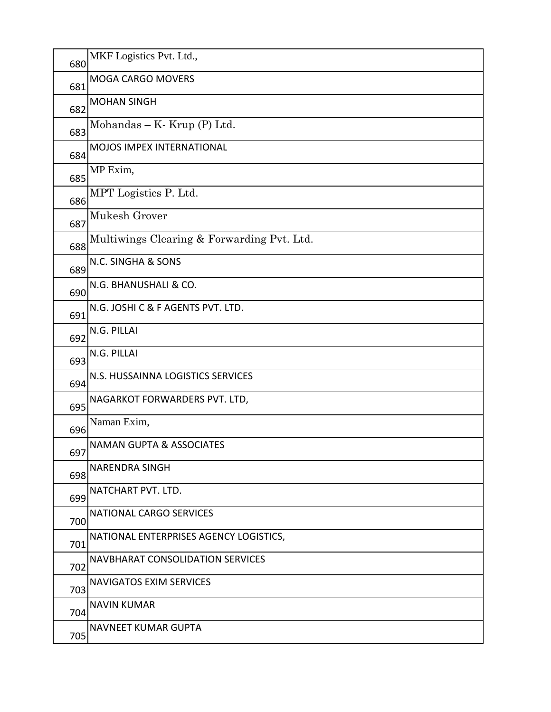| 680 | MKF Logistics Pvt. Ltd.,                   |
|-----|--------------------------------------------|
| 681 | MOGA CARGO MOVERS                          |
| 682 | <b>MOHAN SINGH</b>                         |
| 683 | Mohandas – K. Krup $(P)$ Ltd.              |
| 684 | <b>MOJOS IMPEX INTERNATIONAL</b>           |
| 685 | MP Exim,                                   |
| 686 | MPT Logistics P. Ltd.                      |
| 687 | Mukesh Grover                              |
| 688 | Multiwings Clearing & Forwarding Pvt. Ltd. |
| 689 | N.C. SINGHA & SONS                         |
| 690 | N.G. BHANUSHALI & CO.                      |
| 691 | N.G. JOSHI C & F AGENTS PVT. LTD.          |
| 692 | N.G. PILLAI                                |
| 693 | N.G. PILLAI                                |
| 694 | N.S. HUSSAINNA LOGISTICS SERVICES          |
| 695 | NAGARKOT FORWARDERS PVT. LTD,              |
| 696 | Naman Exim,                                |
| 697 | <b>NAMAN GUPTA &amp; ASSOCIATES</b>        |
| 698 | <b>NARENDRA SINGH</b>                      |
| 699 | NATCHART PVT. LTD.                         |
| 700 | NATIONAL CARGO SERVICES                    |
| 701 | NATIONAL ENTERPRISES AGENCY LOGISTICS,     |
| 702 | <b>NAVBHARAT CONSOLIDATION SERVICES</b>    |
| 703 | <b>NAVIGATOS EXIM SERVICES</b>             |
| 704 | <b>NAVIN KUMAR</b>                         |
| 705 | <b>NAVNEET KUMAR GUPTA</b>                 |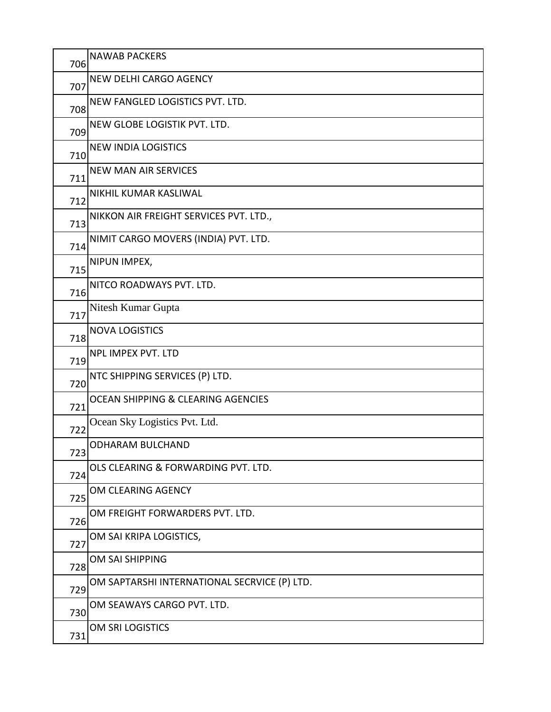| 706 | <b>NAWAB PACKERS</b>                          |
|-----|-----------------------------------------------|
| 707 | <b>NEW DELHI CARGO AGENCY</b>                 |
| 708 | NEW FANGLED LOGISTICS PVT. LTD.               |
| 709 | NEW GLOBE LOGISTIK PVT. LTD.                  |
| 710 | <b>NEW INDIA LOGISTICS</b>                    |
| 711 | <b>NEW MAN AIR SERVICES</b>                   |
| 712 | NIKHIL KUMAR KASLIWAL                         |
| 713 | NIKKON AIR FREIGHT SERVICES PVT. LTD.,        |
| 714 | NIMIT CARGO MOVERS (INDIA) PVT. LTD.          |
| 715 | NIPUN IMPEX,                                  |
| 716 | NITCO ROADWAYS PVT. LTD.                      |
| 717 | Nitesh Kumar Gupta                            |
| 718 | <b>NOVA LOGISTICS</b>                         |
| 719 | NPL IMPEX PVT. LTD                            |
| 720 | NTC SHIPPING SERVICES (P) LTD.                |
| 721 | <b>OCEAN SHIPPING &amp; CLEARING AGENCIES</b> |
| 722 | Ocean Sky Logistics Pvt. Ltd.                 |
| 723 | <b>ODHARAM BULCHAND</b>                       |
| 724 | OLS CLEARING & FORWARDING PVT. LTD.           |
| 725 | OM CLEARING AGENCY                            |
| 726 | OM FREIGHT FORWARDERS PVT. LTD.               |
| 727 | OM SAI KRIPA LOGISTICS,                       |
| 728 | OM SAI SHIPPING                               |
| 729 | OM SAPTARSHI INTERNATIONAL SECRVICE (P) LTD.  |
| 730 | OM SEAWAYS CARGO PVT. LTD.                    |
| 731 | OM SRI LOGISTICS                              |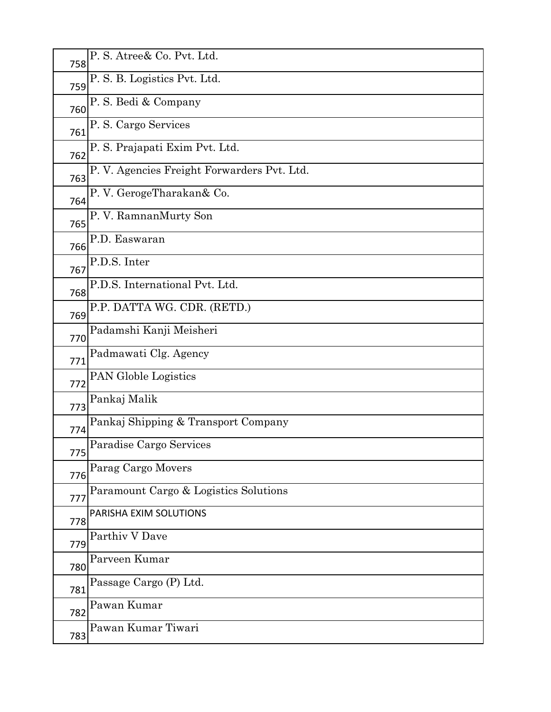| 758 | P. S. Atree& Co. Pvt. Ltd.                 |
|-----|--------------------------------------------|
| 759 | P. S. B. Logistics Pvt. Ltd.               |
| 760 | P. S. Bedi & Company                       |
| 761 | P. S. Cargo Services                       |
| 762 | P. S. Prajapati Exim Pvt. Ltd.             |
| 763 | P.V. Agencies Freight Forwarders Pvt. Ltd. |
| 764 | P.V. GerogeTharakan& Co.                   |
| 765 | P. V. RamnanMurty Son                      |
| 766 | P.D. Easwaran                              |
| 767 | P.D.S. Inter                               |
| 768 | P.D.S. International Pvt. Ltd.             |
| 769 | P.P. DATTA WG. CDR. (RETD.)                |
| 770 | Padamshi Kanji Meisheri                    |
| 771 | Padmawati Clg. Agency                      |
| 772 | <b>PAN Globle Logistics</b>                |
| 773 | Pankaj Malik                               |
| 774 | Pankaj Shipping & Transport Company        |
| 775 | Paradise Cargo Services                    |
| 776 | Parag Cargo Movers                         |
| 777 | Paramount Cargo & Logistics Solutions      |
| 778 | PARISHA EXIM SOLUTIONS                     |
| 779 | Parthiv V Dave                             |
| 780 | Parveen Kumar                              |
| 781 | Passage Cargo (P) Ltd.                     |
| 782 | Pawan Kumar                                |
| 783 | Pawan Kumar Tiwari                         |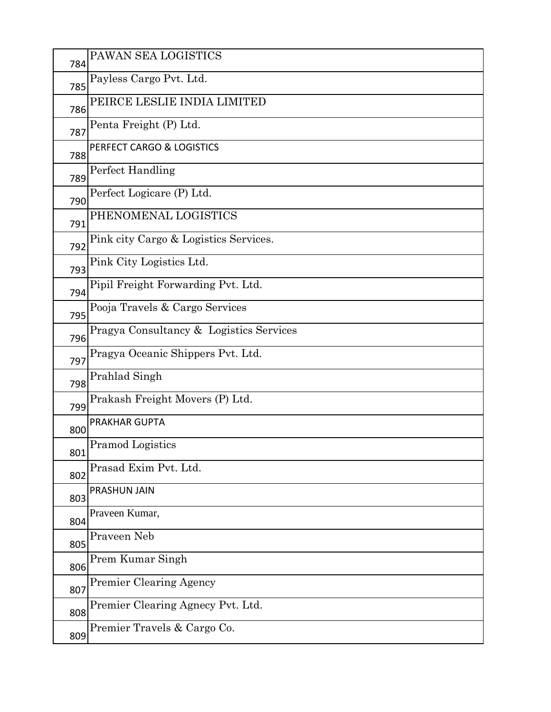| 784 | PAWAN SEA LOGISTICS                     |
|-----|-----------------------------------------|
| 785 | Payless Cargo Pvt. Ltd.                 |
| 786 | PEIRCE LESLIE INDIA LIMITED             |
| 787 | Penta Freight (P) Ltd.                  |
| 788 | PERFECT CARGO & LOGISTICS               |
| 789 | Perfect Handling                        |
| 790 | Perfect Logicare (P) Ltd.               |
| 791 | PHENOMENAL LOGISTICS                    |
| 792 | Pink city Cargo & Logistics Services.   |
| 793 | Pink City Logistics Ltd.                |
| 794 | Pipil Freight Forwarding Pvt. Ltd.      |
| 795 | Pooja Travels & Cargo Services          |
| 796 | Pragya Consultancy & Logistics Services |
| 797 | Pragya Oceanic Shippers Pvt. Ltd.       |
| 798 | Prahlad Singh                           |
| 799 | Prakash Freight Movers (P) Ltd.         |
| 800 | <b>PRAKHAR GUPTA</b>                    |
| 801 | <b>Pramod Logistics</b>                 |
| 802 | Prasad Exim Pvt. Ltd.                   |
| 803 | PRASHUN JAIN                            |
| 804 | Praveen Kumar,                          |
| 805 | Praveen Neb                             |
| 806 | Prem Kumar Singh                        |
| 807 | <b>Premier Clearing Agency</b>          |
| 808 | Premier Clearing Agnecy Pvt. Ltd.       |
| 809 | Premier Travels & Cargo Co.             |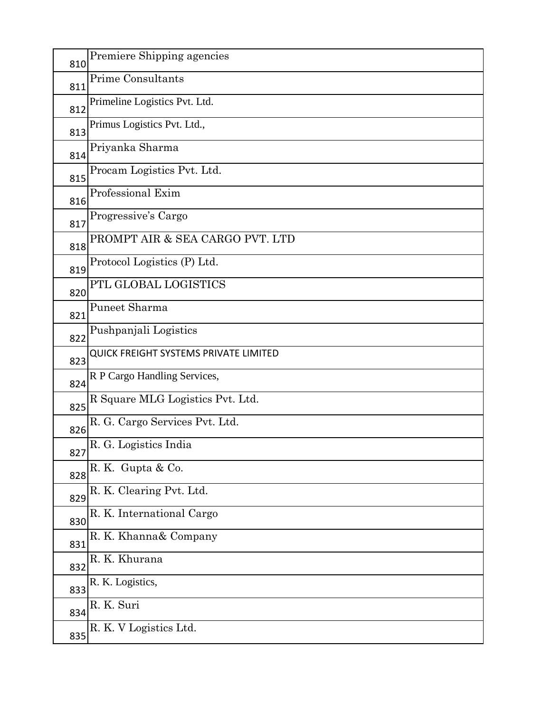| 810 | Premiere Shipping agencies                   |
|-----|----------------------------------------------|
| 811 | <b>Prime Consultants</b>                     |
| 812 | Primeline Logistics Pvt. Ltd.                |
| 813 | Primus Logistics Pvt. Ltd.,                  |
| 814 | Priyanka Sharma                              |
| 815 | Procam Logistics Pvt. Ltd.                   |
| 816 | Professional Exim                            |
| 817 | Progressive's Cargo                          |
| 818 | PROMPT AIR & SEA CARGO PVT. LTD              |
| 819 | Protocol Logistics (P) Ltd.                  |
| 820 | PTL GLOBAL LOGISTICS                         |
| 821 | Puneet Sharma                                |
| 822 | Pushpanjali Logistics                        |
| 823 | <b>QUICK FREIGHT SYSTEMS PRIVATE LIMITED</b> |
| 824 | R P Cargo Handling Services,                 |
| 825 | R Square MLG Logistics Pvt. Ltd.             |
| 826 | R. G. Cargo Services Pvt. Ltd.               |
| 827 | R. G. Logistics India                        |
| 828 | R.K. Gupta & Co.                             |
| 829 | R. K. Clearing Pvt. Ltd.                     |
| 830 | R. K. International Cargo                    |
| 831 | R. K. Khanna& Company                        |
| 832 | R. K. Khurana                                |
| 833 | R. K. Logistics,                             |
| 834 | R. K. Suri                                   |
| 835 | R. K. V Logistics Ltd.                       |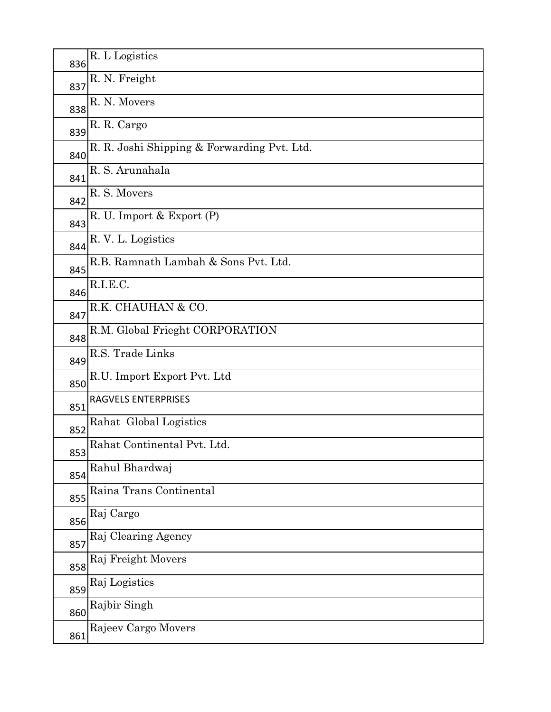| 836 | R. L Logistics                              |
|-----|---------------------------------------------|
| 837 | R. N. Freight                               |
| 838 | R. N. Movers                                |
| 839 | R. R. Cargo                                 |
| 840 | R. R. Joshi Shipping & Forwarding Pvt. Ltd. |
| 841 | R. S. Arunahala                             |
| 842 | R. S. Movers                                |
| 843 | R. U. Import & Export (P)                   |
| 844 | R. V. L. Logistics                          |
| 845 | R.B. Ramnath Lambah & Sons Pvt. Ltd.        |
| 846 | R.I.E.C.                                    |
| 847 | R.K. CHAUHAN & CO.                          |
| 848 | R.M. Global Frieght CORPORATION             |
| 849 | R.S. Trade Links                            |
| 850 | R.U. Import Export Pvt. Ltd                 |
| 851 | RAGVELS ENTERPRISES                         |
| 852 | Rahat Global Logistics                      |
| 853 | Rahat Continental Pvt. Ltd.                 |
| 854 | Rahul Bhardwaj                              |
| 855 | Raina Trans Continental                     |
| 856 | Raj Cargo                                   |
| 857 | Raj Clearing Agency                         |
| 858 | Raj Freight Movers                          |
| 859 | Raj Logistics                               |
| 860 | Rajbir Singh                                |
| 861 | Rajeev Cargo Movers                         |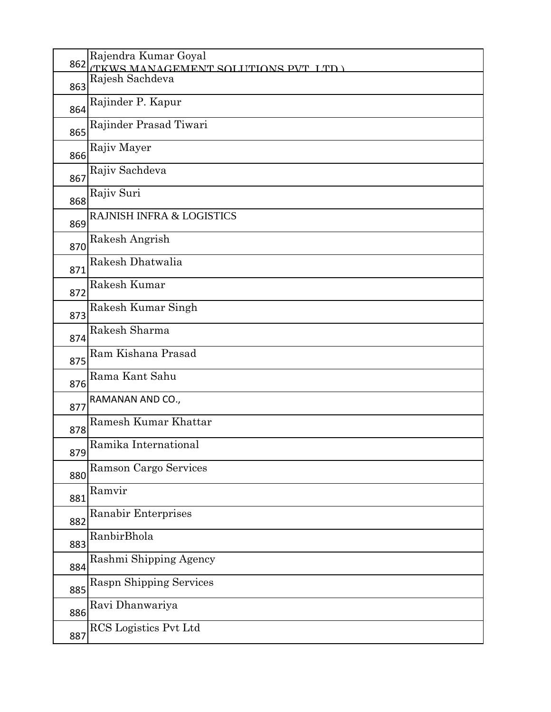| 862 | Rajendra Kumar Goyal<br><b>TKWS MANAGEMENT SOLITIONS PVT LTD</b> |
|-----|------------------------------------------------------------------|
| 863 | Rajesh Sachdeva                                                  |
| 864 | Rajinder P. Kapur                                                |
| 865 | Rajinder Prasad Tiwari                                           |
| 866 | Rajiv Mayer                                                      |
| 867 | Rajiv Sachdeva                                                   |
| 868 | Rajiv Suri                                                       |
| 869 | <b>RAJNISH INFRA &amp; LOGISTICS</b>                             |
| 870 | Rakesh Angrish                                                   |
| 871 | Rakesh Dhatwalia                                                 |
| 872 | Rakesh Kumar                                                     |
| 873 | Rakesh Kumar Singh                                               |
| 874 | Rakesh Sharma                                                    |
| 875 | Ram Kishana Prasad                                               |
| 876 | Rama Kant Sahu                                                   |
| 877 | RAMANAN AND CO.,                                                 |
| 878 | <b>Ramesh Kumar Khattar</b>                                      |
| 879 | Ramika International                                             |
| 880 | Ramson Cargo Services                                            |
| 881 | Ramvir                                                           |
| 882 | Ranabir Enterprises                                              |
| 883 | RanbirBhola                                                      |
| 884 | Rashmi Shipping Agency                                           |
| 885 | <b>Raspn Shipping Services</b>                                   |
| 886 | Ravi Dhanwariya                                                  |
| 887 | RCS Logistics Pvt Ltd                                            |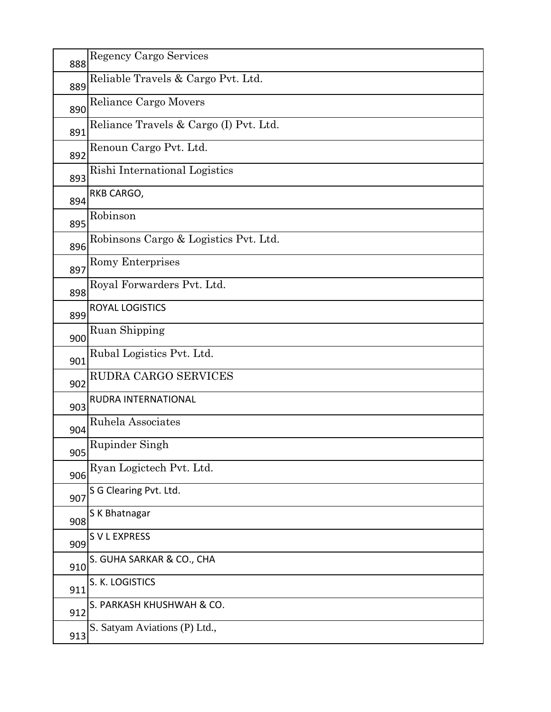| 888 | <b>Regency Cargo Services</b>          |
|-----|----------------------------------------|
| 889 | Reliable Travels & Cargo Pvt. Ltd.     |
| 890 | Reliance Cargo Movers                  |
| 891 | Reliance Travels & Cargo (I) Pvt. Ltd. |
| 892 | Renoun Cargo Pvt. Ltd.                 |
| 893 | Rishi International Logistics          |
| 894 | RKB CARGO,                             |
| 895 | Robinson                               |
| 896 | Robinsons Cargo & Logistics Pvt. Ltd.  |
| 897 | Romy Enterprises                       |
| 898 | Royal Forwarders Pvt. Ltd.             |
| 899 | <b>ROYAL LOGISTICS</b>                 |
| 900 | Ruan Shipping                          |
| 901 | Rubal Logistics Pvt. Ltd.              |
| 902 | RUDRA CARGO SERVICES                   |
| 903 | RUDRA INTERNATIONAL                    |
| 904 | Ruhela Associates                      |
| 905 | Rupinder Singh                         |
| 906 | Ryan Logictech Pvt. Ltd.               |
| 907 | S G Clearing Pvt. Ltd.                 |
| 908 | S K Bhatnagar                          |
| 909 | S V L EXPRESS                          |
| 910 | S. GUHA SARKAR & CO., CHA              |
| 911 | S. K. LOGISTICS                        |
| 912 | S. PARKASH KHUSHWAH & CO.              |
| 913 | S. Satyam Aviations (P) Ltd.,          |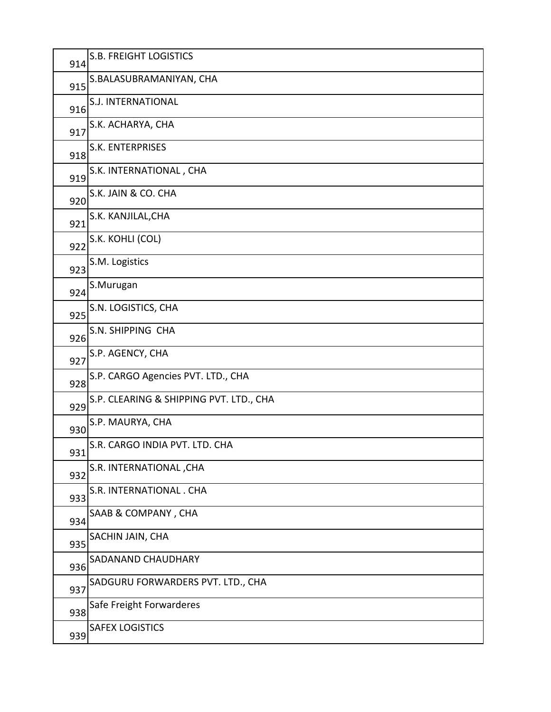| 914 | S.B. FREIGHT LOGISTICS                  |
|-----|-----------------------------------------|
| 915 | S.BALASUBRAMANIYAN, CHA                 |
| 916 | S.J. INTERNATIONAL                      |
| 917 | S.K. ACHARYA, CHA                       |
| 918 | S.K. ENTERPRISES                        |
| 919 | S.K. INTERNATIONAL, CHA                 |
| 920 | S.K. JAIN & CO. CHA                     |
| 921 | S.K. KANJILAL, CHA                      |
| 922 | S.K. KOHLI (COL)                        |
| 923 | S.M. Logistics                          |
| 924 | S.Murugan                               |
| 925 | S.N. LOGISTICS, CHA                     |
| 926 | S.N. SHIPPING CHA                       |
| 927 | S.P. AGENCY, CHA                        |
| 928 | S.P. CARGO Agencies PVT. LTD., CHA      |
| 929 | S.P. CLEARING & SHIPPING PVT. LTD., CHA |
| 930 | S.P. MAURYA, CHA                        |
| 931 | S.R. CARGO INDIA PVT. LTD. CHA          |
| 932 | S.R. INTERNATIONAL, CHA                 |
| 933 | S.R. INTERNATIONAL . CHA                |
| 934 | SAAB & COMPANY, CHA                     |
| 935 | SACHIN JAIN, CHA                        |
| 936 | SADANAND CHAUDHARY                      |
| 937 | SADGURU FORWARDERS PVT. LTD., CHA       |
| 938 | Safe Freight Forwarderes                |
| 939 | <b>SAFEX LOGISTICS</b>                  |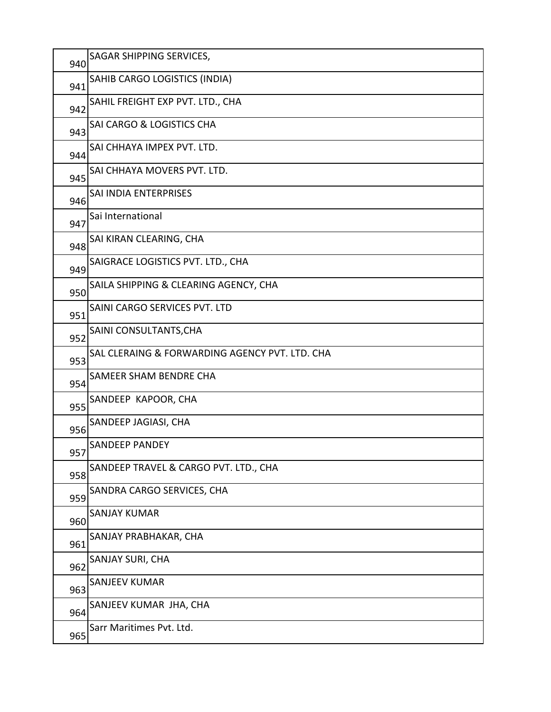| 940 | SAGAR SHIPPING SERVICES,                       |
|-----|------------------------------------------------|
| 941 | SAHIB CARGO LOGISTICS (INDIA)                  |
| 942 | SAHIL FREIGHT EXP PVT. LTD., CHA               |
| 943 | <b>SAI CARGO &amp; LOGISTICS CHA</b>           |
| 944 | SAI CHHAYA IMPEX PVT. LTD.                     |
| 945 | SAI CHHAYA MOVERS PVT. LTD.                    |
| 946 | SAI INDIA ENTERPRISES                          |
| 947 | Sai International                              |
| 948 | SAI KIRAN CLEARING, CHA                        |
| 949 | SAIGRACE LOGISTICS PVT. LTD., CHA              |
| 950 | SAILA SHIPPING & CLEARING AGENCY, CHA          |
| 951 | SAINI CARGO SERVICES PVT. LTD                  |
| 952 | SAINI CONSULTANTS, CHA                         |
| 953 | SAL CLERAING & FORWARDING AGENCY PVT. LTD. CHA |
| 954 | <b>SAMEER SHAM BENDRE CHA</b>                  |
| 955 | SANDEEP KAPOOR, CHA                            |
| 956 | SANDEEP JAGIASI, CHA                           |
| 957 | <b>SANDEEP PANDEY</b>                          |
| 958 | SANDEEP TRAVEL & CARGO PVT. LTD., CHA          |
| 959 | SANDRA CARGO SERVICES, CHA                     |
| 960 | <b>SANJAY KUMAR</b>                            |
| 961 | SANJAY PRABHAKAR, CHA                          |
| 962 | SANJAY SURI, CHA                               |
| 963 | <b>SANJEEV KUMAR</b>                           |
| 964 | SANJEEV KUMAR JHA, CHA                         |
| 965 | Sarr Maritimes Pvt. Ltd.                       |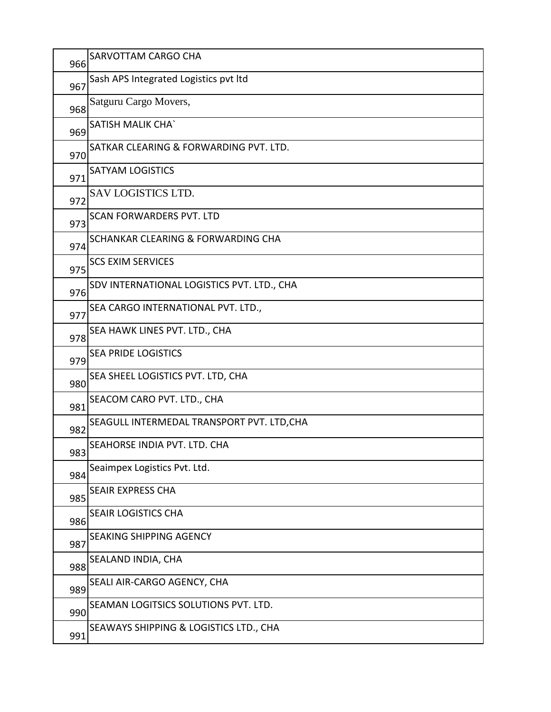| 966 | SARVOTTAM CARGO CHA                           |
|-----|-----------------------------------------------|
| 967 | Sash APS Integrated Logistics pvt Itd         |
| 968 | Satguru Cargo Movers,                         |
| 969 | <b>SATISH MALIK CHA'</b>                      |
| 970 | SATKAR CLEARING & FORWARDING PVT. LTD.        |
| 971 | <b>SATYAM LOGISTICS</b>                       |
| 972 | SAV LOGISTICS LTD.                            |
| 973 | <b>SCAN FORWARDERS PVT. LTD</b>               |
| 974 | <b>SCHANKAR CLEARING &amp; FORWARDING CHA</b> |
| 975 | <b>SCS EXIM SERVICES</b>                      |
| 976 | SDV INTERNATIONAL LOGISTICS PVT. LTD., CHA    |
| 977 | SEA CARGO INTERNATIONAL PVT. LTD.,            |
| 978 | SEA HAWK LINES PVT. LTD., CHA                 |
| 979 | <b>SEA PRIDE LOGISTICS</b>                    |
| 980 | SEA SHEEL LOGISTICS PVT. LTD, CHA             |
| 981 | SEACOM CARO PVT. LTD., CHA                    |
| 982 | SEAGULL INTERMEDAL TRANSPORT PVT. LTD, CHA    |
| 983 | SEAHORSE INDIA PVT. LTD. CHA                  |
| 984 | Seaimpex Logistics Pvt. Ltd.                  |
| 985 | SEAIR EXPRESS CHA                             |
| 986 | SEAIR LOGISTICS CHA                           |
| 987 | <b>SEAKING SHIPPING AGENCY</b>                |
| 988 | SEALAND INDIA, CHA                            |
| 989 | SEALI AIR-CARGO AGENCY, CHA                   |
| 990 | SEAMAN LOGITSICS SOLUTIONS PVT. LTD.          |
| 991 | SEAWAYS SHIPPING & LOGISTICS LTD., CHA        |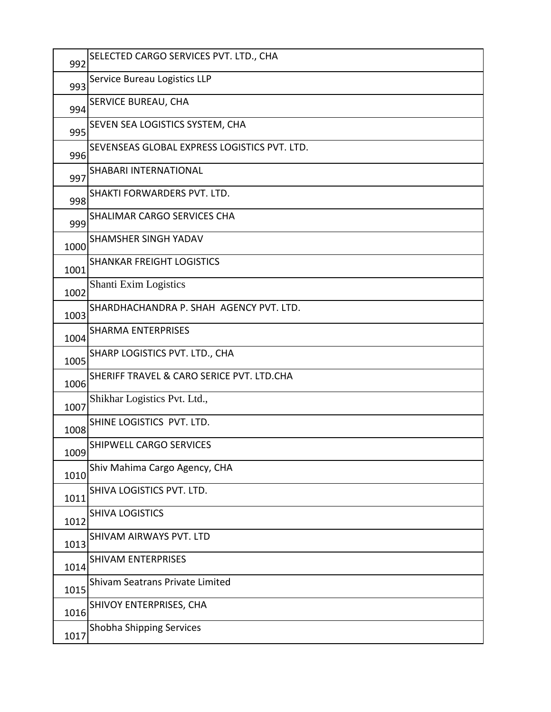| 992  | SELECTED CARGO SERVICES PVT. LTD., CHA       |
|------|----------------------------------------------|
| 993  | Service Bureau Logistics LLP                 |
| 994  | SERVICE BUREAU, CHA                          |
| 995  | SEVEN SEA LOGISTICS SYSTEM, CHA              |
| 996  | SEVENSEAS GLOBAL EXPRESS LOGISTICS PVT. LTD. |
| 997  | SHABARI INTERNATIONAL                        |
| 998  | SHAKTI FORWARDERS PVT. LTD.                  |
| 999  | SHALIMAR CARGO SERVICES CHA                  |
| 1000 | <b>SHAMSHER SINGH YADAV</b>                  |
| 1001 | <b>SHANKAR FREIGHT LOGISTICS</b>             |
| 1002 | <b>Shanti Exim Logistics</b>                 |
| 1003 | SHARDHACHANDRA P. SHAH AGENCY PVT. LTD.      |
| 1004 | <b>SHARMA ENTERPRISES</b>                    |
| 1005 | SHARP LOGISTICS PVT. LTD., CHA               |
| 1006 | SHERIFF TRAVEL & CARO SERICE PVT. LTD.CHA    |
| 1007 | Shikhar Logistics Pvt. Ltd.,                 |
| 1008 | SHINE LOGISTICS PVT. LTD.                    |
| 1009 | <b>SHIPWELL CARGO SERVICES</b>               |
| 1010 | Shiv Mahima Cargo Agency, CHA                |
| 1011 | SHIVA LOGISTICS PVT. LTD.                    |
| 1012 | <b>SHIVA LOGISTICS</b>                       |
| 1013 | SHIVAM AIRWAYS PVT. LTD                      |
| 1014 | <b>SHIVAM ENTERPRISES</b>                    |
| 1015 | <b>Shivam Seatrans Private Limited</b>       |
| 1016 | SHIVOY ENTERPRISES, CHA                      |
| 1017 | Shobha Shipping Services                     |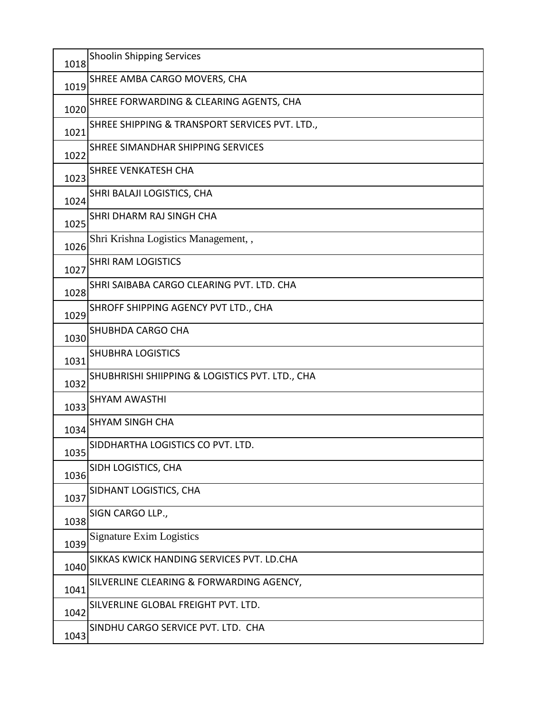| 1018 | <b>Shoolin Shipping Services</b>                |
|------|-------------------------------------------------|
| 1019 | SHREE AMBA CARGO MOVERS, CHA                    |
| 1020 | SHREE FORWARDING & CLEARING AGENTS, CHA         |
| 1021 | SHREE SHIPPING & TRANSPORT SERVICES PVT. LTD.,  |
| 1022 | SHREE SIMANDHAR SHIPPING SERVICES               |
| 1023 | <b>SHREE VENKATESH CHA</b>                      |
| 1024 | SHRI BALAJI LOGISTICS, CHA                      |
| 1025 | SHRI DHARM RAJ SINGH CHA                        |
| 1026 | Shri Krishna Logistics Management,,             |
| 1027 | <b>SHRI RAM LOGISTICS</b>                       |
| 1028 | SHRI SAIBABA CARGO CLEARING PVT. LTD. CHA       |
| 1029 | SHROFF SHIPPING AGENCY PVT LTD., CHA            |
| 1030 | SHUBHDA CARGO CHA                               |
| 1031 | <b>SHUBHRA LOGISTICS</b>                        |
| 1032 | SHUBHRISHI SHIIPPING & LOGISTICS PVT. LTD., CHA |
| 1033 | <b>SHYAM AWASTHI</b>                            |
| 1034 | <b>SHYAM SINGH CHA</b>                          |
| 1035 | SIDDHARTHA LOGISTICS CO PVT. LTD.               |
| 1036 | SIDH LOGISTICS, CHA                             |
| 1037 | SIDHANT LOGISTICS, CHA                          |
| 1038 | SIGN CARGO LLP.,                                |
| 1039 | <b>Signature Exim Logistics</b>                 |
| 1040 | SIKKAS KWICK HANDING SERVICES PVT. LD.CHA       |
| 1041 | SILVERLINE CLEARING & FORWARDING AGENCY,        |
| 1042 | SILVERLINE GLOBAL FREIGHT PVT. LTD.             |
| 1043 | SINDHU CARGO SERVICE PVT. LTD. CHA              |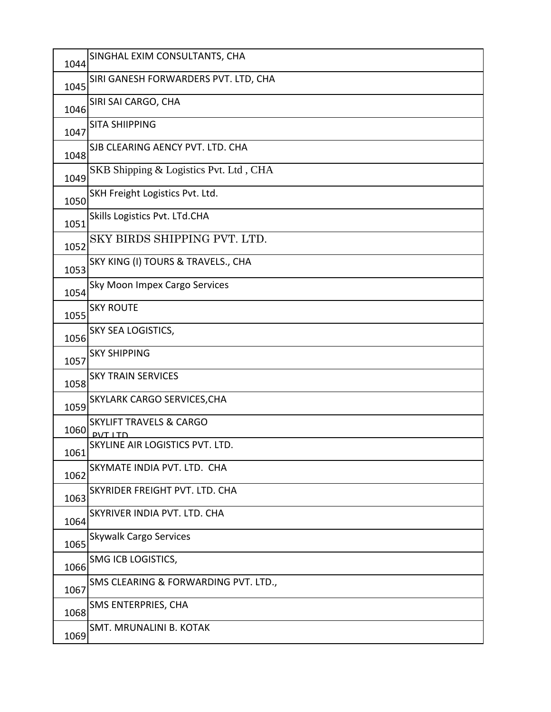| 1044 | SINGHAL EXIM CONSULTANTS, CHA                |
|------|----------------------------------------------|
| 1045 | SIRI GANESH FORWARDERS PVT. LTD, CHA         |
| 1046 | SIRI SAI CARGO, CHA                          |
| 1047 | <b>SITA SHIIPPING</b>                        |
| 1048 | SJB CLEARING AENCY PVT. LTD. CHA             |
| 1049 | SKB Shipping & Logistics Pvt. Ltd, CHA       |
| 1050 | SKH Freight Logistics Pvt. Ltd.              |
| 1051 | Skills Logistics Pvt. LTd.CHA                |
| 1052 | SKY BIRDS SHIPPING PVT. LTD.                 |
| 1053 | SKY KING (I) TOURS & TRAVELS., CHA           |
| 1054 | Sky Moon Impex Cargo Services                |
| 1055 | <b>SKY ROUTE</b>                             |
| 1056 | SKY SEA LOGISTICS,                           |
| 1057 | <b>SKY SHIPPING</b>                          |
| 1058 | <b>SKY TRAIN SERVICES</b>                    |
|      |                                              |
| 1059 | SKYLARK CARGO SERVICES, CHA                  |
| 1060 | <b>SKYLIFT TRAVELS &amp; CARGO</b>           |
| 1061 | $P1$ TITN<br>SKYLINE AIR LOGISTICS PVT. LTD. |
| 1062 | SKYMATE INDIA PVT. LTD. CHA                  |
| 1063 | SKYRIDER FREIGHT PVT. LTD. CHA               |
| 1064 | SKYRIVER INDIA PVT. LTD. CHA                 |
| 1065 | <b>Skywalk Cargo Services</b>                |
| 1066 | SMG ICB LOGISTICS,                           |
| 1067 | SMS CLEARING & FORWARDING PVT. LTD.,         |
| 1068 | SMS ENTERPRIES, CHA                          |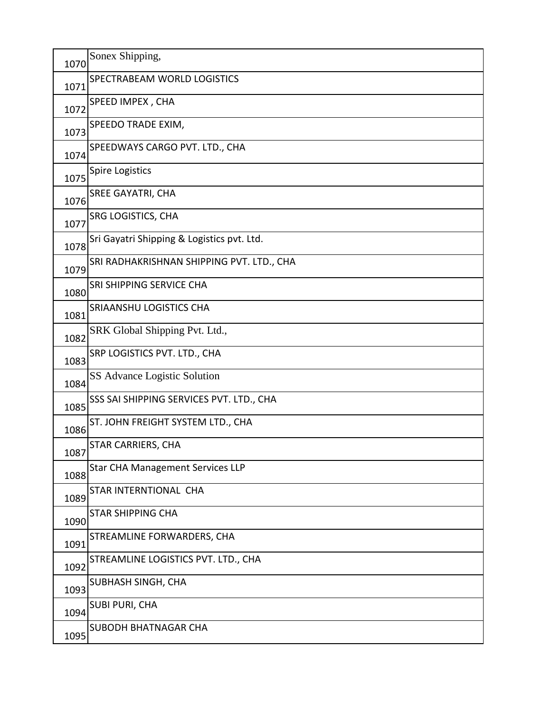| 1070 | Sonex Shipping,                            |
|------|--------------------------------------------|
| 1071 | SPECTRABEAM WORLD LOGISTICS                |
| 1072 | SPEED IMPEX, CHA                           |
| 1073 | SPEEDO TRADE EXIM,                         |
| 1074 | SPEEDWAYS CARGO PVT. LTD., CHA             |
| 1075 | <b>Spire Logistics</b>                     |
| 1076 | <b>SREE GAYATRI, CHA</b>                   |
| 1077 | SRG LOGISTICS, CHA                         |
| 1078 | Sri Gayatri Shipping & Logistics pvt. Ltd. |
| 1079 | SRI RADHAKRISHNAN SHIPPING PVT. LTD., CHA  |
| 1080 | SRI SHIPPING SERVICE CHA                   |
| 1081 | SRIAANSHU LOGISTICS CHA                    |
| 1082 | SRK Global Shipping Pvt. Ltd.,             |
| 1083 | SRP LOGISTICS PVT. LTD., CHA               |
| 1084 | SS Advance Logistic Solution               |
| 1085 | SSS SAI SHIPPING SERVICES PVT. LTD., CHA   |
| 1086 | ST. JOHN FREIGHT SYSTEM LTD., CHA          |
| 1087 | <b>STAR CARRIERS, CHA</b>                  |
| 1088 | <b>Star CHA Management Services LLP</b>    |
| 1089 | STAR INTERNTIONAL CHA                      |
| 1090 | <b>STAR SHIPPING CHA</b>                   |
| 1091 | STREAMLINE FORWARDERS, CHA                 |
| 1092 | STREAMLINE LOGISTICS PVT. LTD., CHA        |
| 1093 | SUBHASH SINGH, CHA                         |
| 1094 | <b>SUBI PURI, CHA</b>                      |
| 1095 | <b>SUBODH BHATNAGAR CHA</b>                |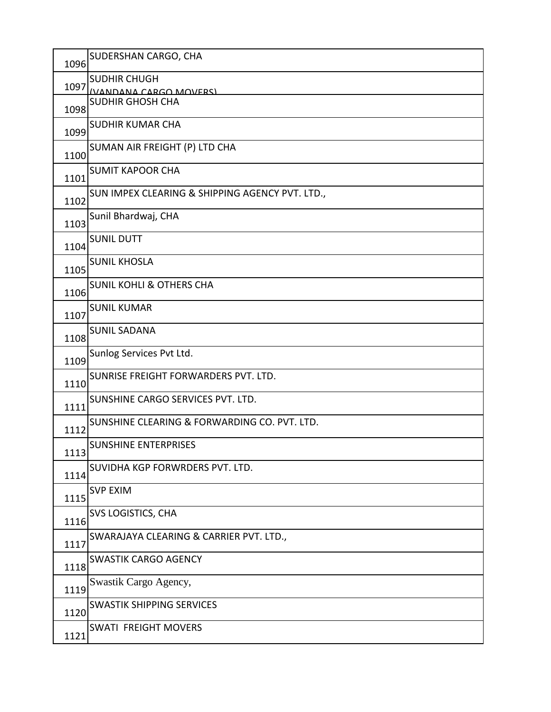| 1096 | SUDERSHAN CARGO, CHA                                 |
|------|------------------------------------------------------|
| 1097 | <b>SUDHIR CHUGH</b><br><b>(VANDANA CARGO MOVERS)</b> |
| 1098 | <b>SUDHIR GHOSH CHA</b>                              |
| 1099 | <b>SUDHIR KUMAR CHA</b>                              |
| 1100 | SUMAN AIR FREIGHT (P) LTD CHA                        |
| 1101 | <b>SUMIT KAPOOR CHA</b>                              |
| 1102 | SUN IMPEX CLEARING & SHIPPING AGENCY PVT. LTD.,      |
| 1103 | Sunil Bhardwaj, CHA                                  |
| 1104 | <b>SUNIL DUTT</b>                                    |
| 1105 | <b>SUNIL KHOSLA</b>                                  |
| 1106 | <b>SUNIL KOHLI &amp; OTHERS CHA</b>                  |
| 1107 | <b>SUNIL KUMAR</b>                                   |
| 1108 | <b>SUNIL SADANA</b>                                  |
| 1109 | Sunlog Services Pvt Ltd.                             |
| 1110 | SUNRISE FREIGHT FORWARDERS PVT. LTD.                 |
| 1111 | SUNSHINE CARGO SERVICES PVT. LTD.                    |
| 1112 | SUNSHINE CLEARING & FORWARDING CO. PVT. LTD.         |
| 1113 | <b>SUNSHINE ENTERPRISES</b>                          |
| 1114 | SUVIDHA KGP FORWRDERS PVT. LTD.                      |
| 1115 | <b>SVP EXIM</b>                                      |
| 1116 | SVS LOGISTICS, CHA                                   |
| 1117 | SWARAJAYA CLEARING & CARRIER PVT. LTD.,              |
| 1118 | <b>SWASTIK CARGO AGENCY</b>                          |
| 1119 | Swastik Cargo Agency,                                |
| 1120 | <b>SWASTIK SHIPPING SERVICES</b>                     |
| 1121 | <b>SWATI FREIGHT MOVERS</b>                          |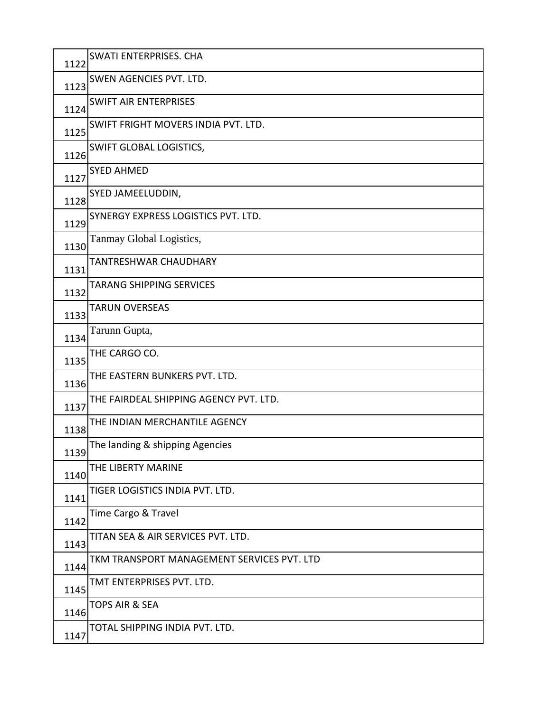| 1122 | <b>SWATI ENTERPRISES. CHA</b>              |
|------|--------------------------------------------|
| 1123 | SWEN AGENCIES PVT. LTD.                    |
| 1124 | <b>SWIFT AIR ENTERPRISES</b>               |
| 1125 | SWIFT FRIGHT MOVERS INDIA PVT. LTD.        |
| 1126 | SWIFT GLOBAL LOGISTICS,                    |
| 1127 | <b>SYED AHMED</b>                          |
| 1128 | SYED JAMEELUDDIN,                          |
| 1129 | SYNERGY EXPRESS LOGISTICS PVT. LTD.        |
| 1130 | Tanmay Global Logistics,                   |
| 1131 | TANTRESHWAR CHAUDHARY                      |
| 1132 | <b>TARANG SHIPPING SERVICES</b>            |
| 1133 | <b>TARUN OVERSEAS</b>                      |
| 1134 | Tarunn Gupta,                              |
| 1135 | THE CARGO CO.                              |
| 1136 | THE EASTERN BUNKERS PVT. LTD.              |
| 1137 | THE FAIRDEAL SHIPPING AGENCY PVT. LTD.     |
| 1138 | THE INDIAN MERCHANTILE AGENCY              |
| 1139 | The landing & shipping Agencies            |
| 1140 | THE LIBERTY MARINE                         |
| 1141 | TIGER LOGISTICS INDIA PVT. LTD.            |
| 1142 | Time Cargo & Travel                        |
| 1143 | TITAN SEA & AIR SERVICES PVT. LTD.         |
| 1144 | TKM TRANSPORT MANAGEMENT SERVICES PVT. LTD |
| 1145 | TMT ENTERPRISES PVT. LTD.                  |
| 1146 | <b>TOPS AIR &amp; SEA</b>                  |
| 1147 | TOTAL SHIPPING INDIA PVT. LTD.             |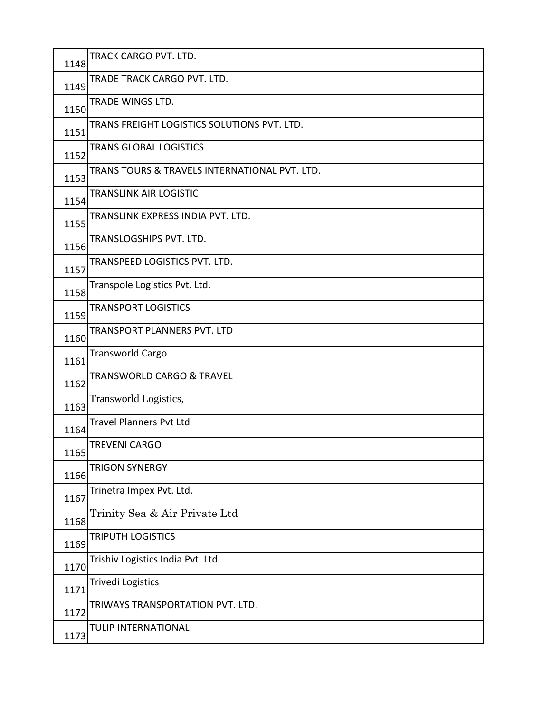| 1148 | TRACK CARGO PVT. LTD.                         |
|------|-----------------------------------------------|
| 1149 | TRADE TRACK CARGO PVT. LTD.                   |
| 1150 | TRADE WINGS LTD.                              |
| 1151 | TRANS FREIGHT LOGISTICS SOLUTIONS PVT. LTD.   |
| 1152 | <b>TRANS GLOBAL LOGISTICS</b>                 |
| 1153 | TRANS TOURS & TRAVELS INTERNATIONAL PVT. LTD. |
| 1154 | <b>TRANSLINK AIR LOGISTIC</b>                 |
| 1155 | TRANSLINK EXPRESS INDIA PVT. LTD.             |
| 1156 | TRANSLOGSHIPS PVT. LTD.                       |
| 1157 | TRANSPEED LOGISTICS PVT. LTD.                 |
| 1158 | Transpole Logistics Pvt. Ltd.                 |
| 1159 | <b>TRANSPORT LOGISTICS</b>                    |
| 1160 | TRANSPORT PLANNERS PVT. LTD                   |
| 1161 | <b>Transworld Cargo</b>                       |
| 1162 | <b>TRANSWORLD CARGO &amp; TRAVEL</b>          |
| 1163 | Transworld Logistics,                         |
| 1164 | <b>Travel Planners Pvt Ltd</b>                |
| 1165 | <b>TREVENI CARGO</b>                          |
| 1166 | <b>TRIGON SYNERGY</b>                         |
| 1167 | Trinetra Impex Pvt. Ltd.                      |
| 1168 | Trinity Sea & Air Private Ltd                 |
| 1169 | <b>TRIPUTH LOGISTICS</b>                      |
| 1170 | Trishiv Logistics India Pvt. Ltd.             |
| 1171 | <b>Trivedi Logistics</b>                      |
| 1172 | TRIWAYS TRANSPORTATION PVT. LTD.              |
| 1173 | TULIP INTERNATIONAL                           |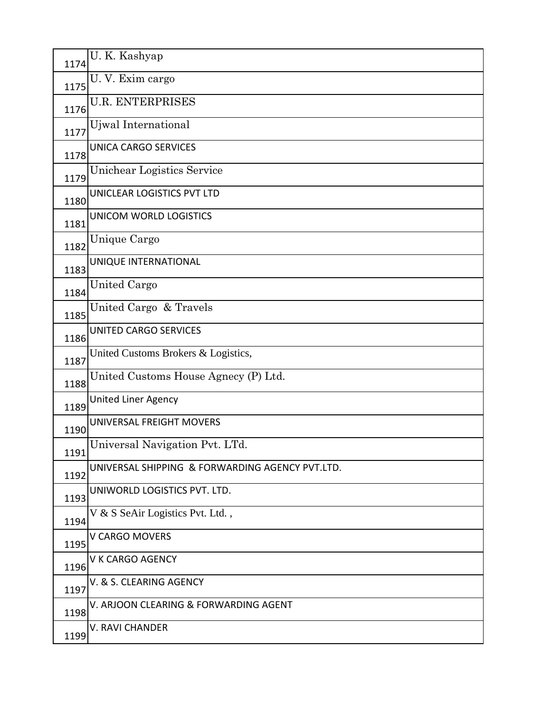| 1174 | U. K. Kashyap                                   |
|------|-------------------------------------------------|
| 1175 | U. V. Exim cargo                                |
| 1176 | <b>U.R. ENTERPRISES</b>                         |
| 1177 | Ujwal International                             |
| 1178 | <b>UNICA CARGO SERVICES</b>                     |
| 1179 | Unichear Logistics Service                      |
| 1180 | UNICLEAR LOGISTICS PVT LTD                      |
| 1181 | UNICOM WORLD LOGISTICS                          |
| 1182 | Unique Cargo                                    |
| 1183 | UNIQUE INTERNATIONAL                            |
| 1184 | <b>United Cargo</b>                             |
| 1185 | United Cargo & Travels                          |
| 1186 | UNITED CARGO SERVICES                           |
| 1187 | United Customs Brokers & Logistics,             |
| 1188 | United Customs House Agnecy (P) Ltd.            |
| 1189 | <b>United Liner Agency</b>                      |
| 1190 | UNIVERSAL FREIGHT MOVERS                        |
| 1191 | Universal Navigation Pvt. LTd.                  |
| 1192 | UNIVERSAL SHIPPING & FORWARDING AGENCY PVT.LTD. |
| 1193 | UNIWORLD LOGISTICS PVT. LTD.                    |
| 1194 | V & S SeAir Logistics Pvt. Ltd.,                |
| 1195 | V CARGO MOVERS                                  |
| 1196 | V K CARGO AGENCY                                |
| 1197 | V. & S. CLEARING AGENCY                         |
| 1198 | V. ARJOON CLEARING & FORWARDING AGENT           |
|      | <b>V. RAVI CHANDER</b>                          |
| 1199 |                                                 |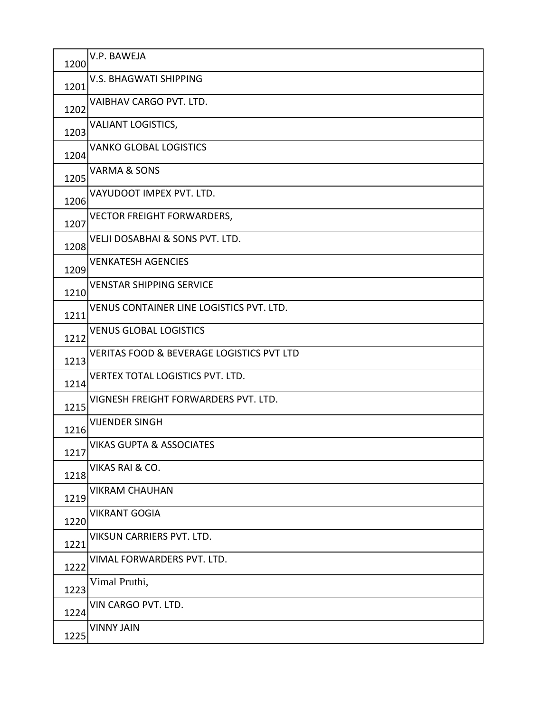| 1200 | V.P. BAWEJA                                          |
|------|------------------------------------------------------|
| 1201 | <b>V.S. BHAGWATI SHIPPING</b>                        |
| 1202 | VAIBHAV CARGO PVT. LTD.                              |
| 1203 | <b>VALIANT LOGISTICS,</b>                            |
| 1204 | <b>VANKO GLOBAL LOGISTICS</b>                        |
| 1205 | <b>VARMA &amp; SONS</b>                              |
| 1206 | VAYUDOOT IMPEX PVT. LTD.                             |
| 1207 | <b>VECTOR FREIGHT FORWARDERS,</b>                    |
| 1208 | VELJI DOSABHAI & SONS PVT. LTD.                      |
| 1209 | <b>VENKATESH AGENCIES</b>                            |
| 1210 | <b>VENSTAR SHIPPING SERVICE</b>                      |
| 1211 | VENUS CONTAINER LINE LOGISTICS PVT. LTD.             |
| 1212 | <b>VENUS GLOBAL LOGISTICS</b>                        |
| 1213 | <b>VERITAS FOOD &amp; BEVERAGE LOGISTICS PVT LTD</b> |
| 1214 | VERTEX TOTAL LOGISTICS PVT. LTD.                     |
| 1215 | VIGNESH FREIGHT FORWARDERS PVT. LTD.                 |
| 1216 | <b>VIJENDER SINGH</b>                                |
| 1217 | <b>VIKAS GUPTA &amp; ASSOCIATES</b>                  |
| 1218 | VIKAS RAI & CO.                                      |
| 1219 | <b>VIKRAM CHAUHAN</b>                                |
| 1220 | <b>VIKRANT GOGIA</b>                                 |
| 1221 | VIKSUN CARRIERS PVT. LTD.                            |
| 1222 | VIMAL FORWARDERS PVT. LTD.                           |
| 1223 | Vimal Pruthi,                                        |
| 1224 | VIN CARGO PVT. LTD.                                  |
| 1225 | <b>VINNY JAIN</b>                                    |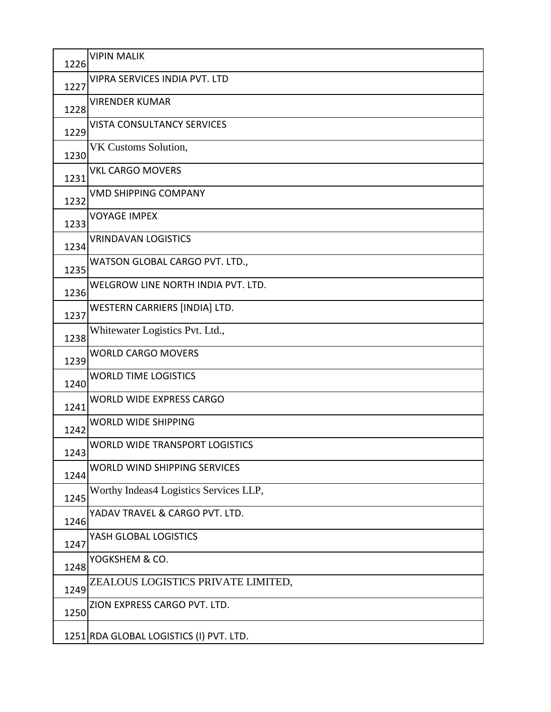| 1226 | <b>VIPIN MALIK</b>                      |
|------|-----------------------------------------|
| 1227 | VIPRA SERVICES INDIA PVT. LTD           |
| 1228 | <b>VIRENDER KUMAR</b>                   |
| 1229 | <b>VISTA CONSULTANCY SERVICES</b>       |
| 1230 | VK Customs Solution,                    |
| 1231 | <b>VKL CARGO MOVERS</b>                 |
| 1232 | <b>VMD SHIPPING COMPANY</b>             |
| 1233 | <b>VOYAGE IMPEX</b>                     |
| 1234 | <b>VRINDAVAN LOGISTICS</b>              |
| 1235 | WATSON GLOBAL CARGO PVT. LTD.,          |
| 1236 | WELGROW LINE NORTH INDIA PVT. LTD.      |
| 1237 | WESTERN CARRIERS [INDIA] LTD.           |
| 1238 | Whitewater Logistics Pvt. Ltd.,         |
| 1239 | <b>WORLD CARGO MOVERS</b>               |
| 1240 | <b>WORLD TIME LOGISTICS</b>             |
| 1241 | WORLD WIDE EXPRESS CARGO                |
| 1242 | <b>WORLD WIDE SHIPPING</b>              |
| 1243 | <b>WORLD WIDE TRANSPORT LOGISTICS</b>   |
| 1244 | WORLD WIND SHIPPING SERVICES            |
| 1245 | Worthy Indeas4 Logistics Services LLP,  |
| 1246 | YADAV TRAVEL & CARGO PVT. LTD.          |
| 1247 | YASH GLOBAL LOGISTICS                   |
| 1248 | YOGKSHEM & CO.                          |
| 1249 | ZEALOUS LOGISTICS PRIVATE LIMITED,      |
| 1250 | ZION EXPRESS CARGO PVT. LTD.            |
|      | 1251 RDA GLOBAL LOGISTICS (I) PVT. LTD. |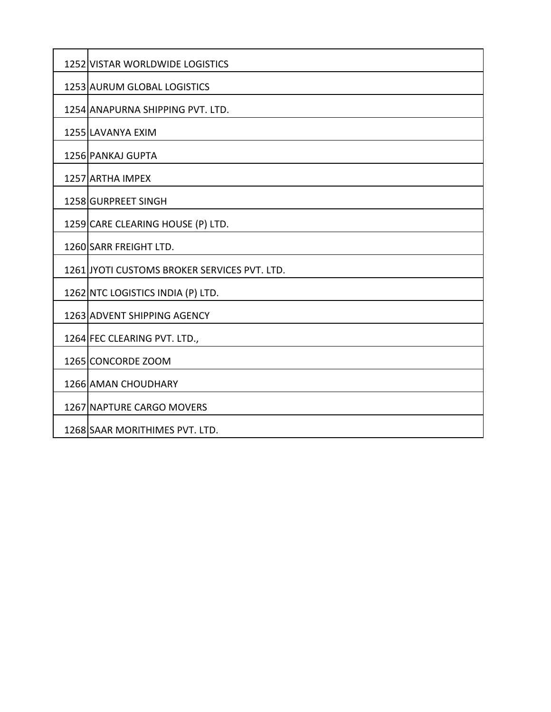| 1252 VISTAR WORLDWIDE LOGISTICS              |  |  |  |  |  |  |
|----------------------------------------------|--|--|--|--|--|--|
| 1253 AURUM GLOBAL LOGISTICS                  |  |  |  |  |  |  |
| 1254 ANAPURNA SHIPPING PVT. LTD.             |  |  |  |  |  |  |
| 1255 LAVANYA EXIM                            |  |  |  |  |  |  |
| 1256 PANKAJ GUPTA                            |  |  |  |  |  |  |
| 1257 ARTHA IMPEX                             |  |  |  |  |  |  |
| 1258 GURPREET SINGH                          |  |  |  |  |  |  |
| 1259 CARE CLEARING HOUSE (P) LTD.            |  |  |  |  |  |  |
| 1260 SARR FREIGHT LTD.                       |  |  |  |  |  |  |
| 1261 JYOTI CUSTOMS BROKER SERVICES PVT. LTD. |  |  |  |  |  |  |
| 1262 NTC LOGISTICS INDIA (P) LTD.            |  |  |  |  |  |  |
| 1263 ADVENT SHIPPING AGENCY                  |  |  |  |  |  |  |
| 1264 FEC CLEARING PVT. LTD.,                 |  |  |  |  |  |  |
| 1265 CONCORDE ZOOM                           |  |  |  |  |  |  |
| 1266 AMAN CHOUDHARY                          |  |  |  |  |  |  |
| 1267 NAPTURE CARGO MOVERS                    |  |  |  |  |  |  |
| 1268 SAAR MORITHIMES PVT. LTD.               |  |  |  |  |  |  |